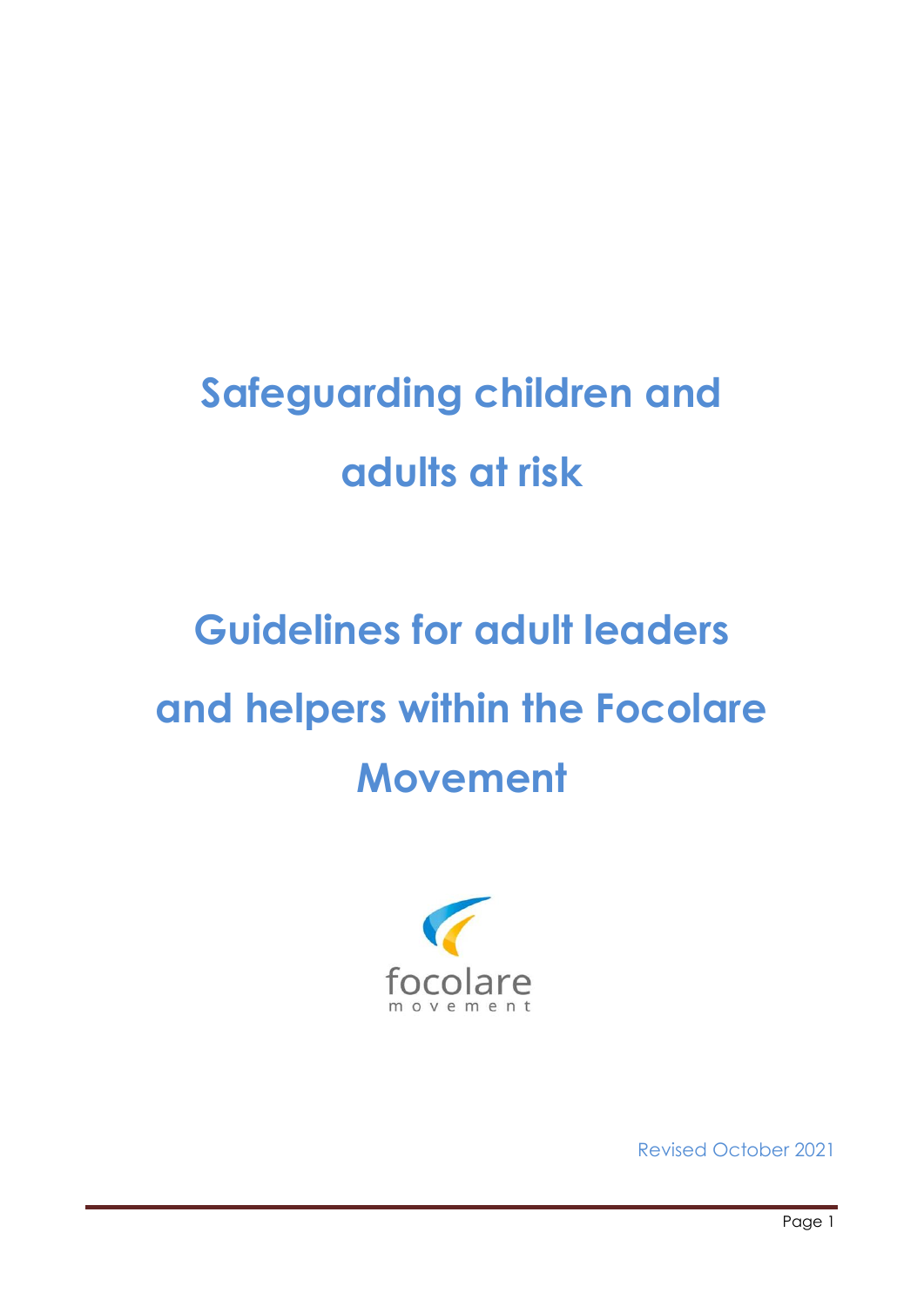## **Safeguarding children and adults at risk**

# **Guidelines for adult leaders and helpers within the Focolare Movement**



Revised October 2021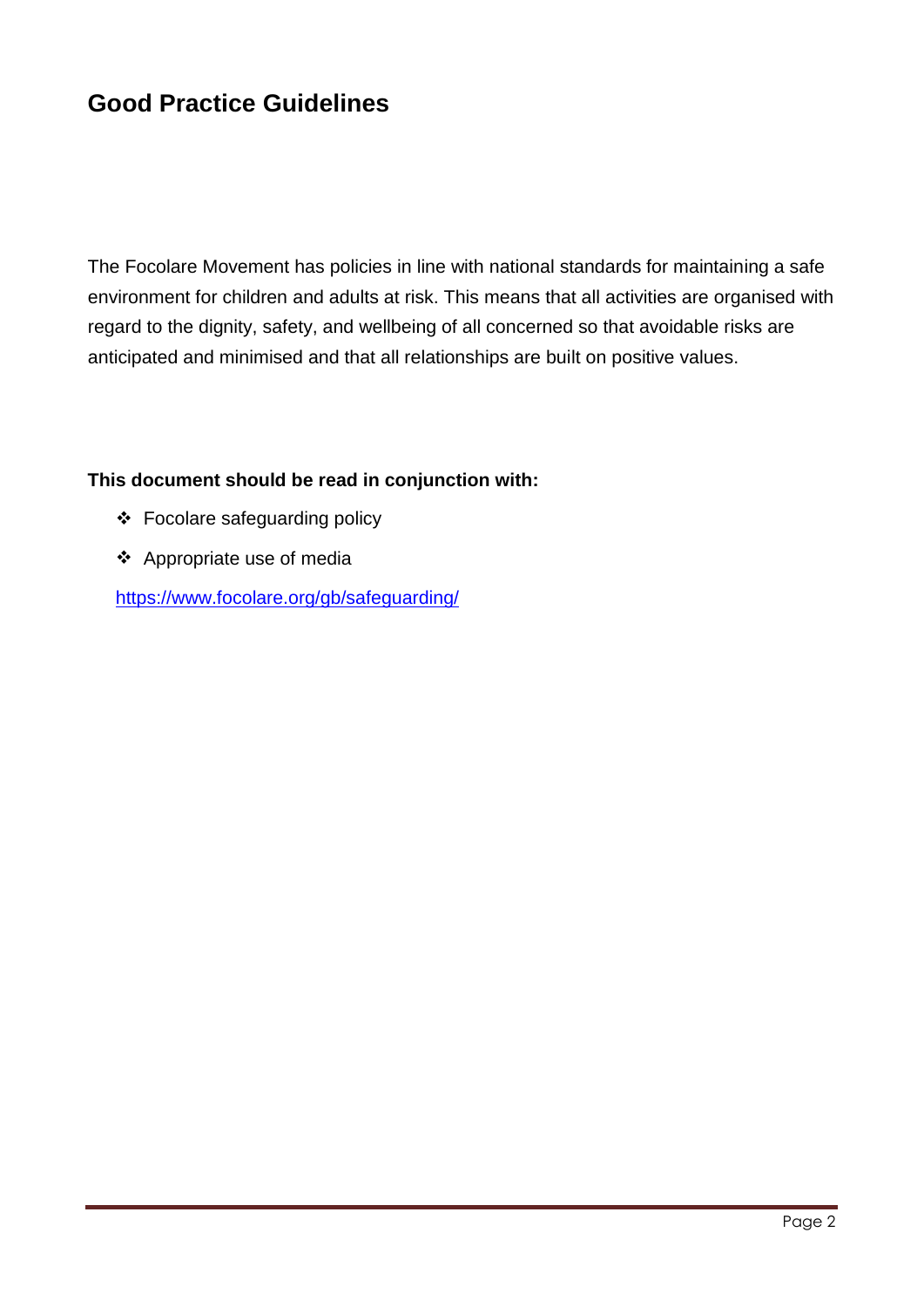### **Good Practice Guidelines**

The Focolare Movement has policies in line with national standards for maintaining a safe environment for children and adults at risk. This means that all activities are organised with regard to the dignity, safety, and wellbeing of all concerned so that avoidable risks are anticipated and minimised and that all relationships are built on positive values.

#### **This document should be read in conjunction with:**

- ❖ Focolare safeguarding policy
- ❖ Appropriate use of media

<https://www.focolare.org/gb/safeguarding/>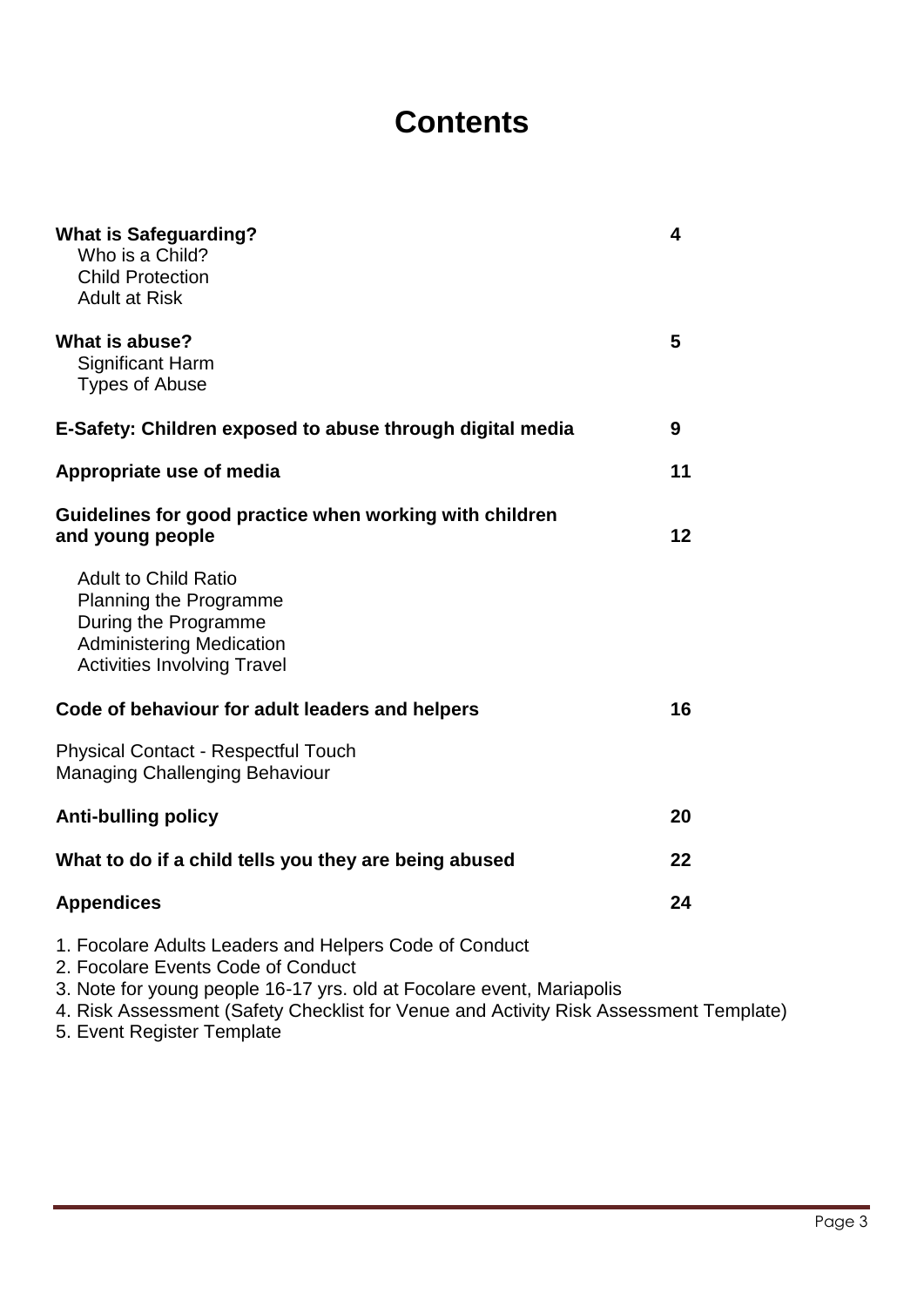### **Contents**

| <b>What is Safeguarding?</b><br>Who is a Child?<br><b>Child Protection</b><br><b>Adult at Risk</b>                                                                    | 4  |
|-----------------------------------------------------------------------------------------------------------------------------------------------------------------------|----|
| What is abuse?<br><b>Significant Harm</b><br><b>Types of Abuse</b>                                                                                                    | 5  |
| E-Safety: Children exposed to abuse through digital media                                                                                                             | 9  |
| Appropriate use of media                                                                                                                                              | 11 |
| Guidelines for good practice when working with children<br>and young people                                                                                           | 12 |
| <b>Adult to Child Ratio</b><br><b>Planning the Programme</b><br>During the Programme<br><b>Administering Medication</b><br><b>Activities Involving Travel</b>         |    |
| Code of behaviour for adult leaders and helpers                                                                                                                       | 16 |
| <b>Physical Contact - Respectful Touch</b><br><b>Managing Challenging Behaviour</b>                                                                                   |    |
| <b>Anti-bulling policy</b>                                                                                                                                            | 20 |
| What to do if a child tells you they are being abused                                                                                                                 | 22 |
| <b>Appendices</b>                                                                                                                                                     | 24 |
| 1. Focolare Adults Leaders and Helpers Code of Conduct<br>2. Focolare Events Code of Conduct<br>3. Note for young people 16-17 yrs. old at Focolare event, Mariapolis |    |

4. Risk Assessment (Safety Checklist for Venue and Activity Risk Assessment Template)

5. Event Register Template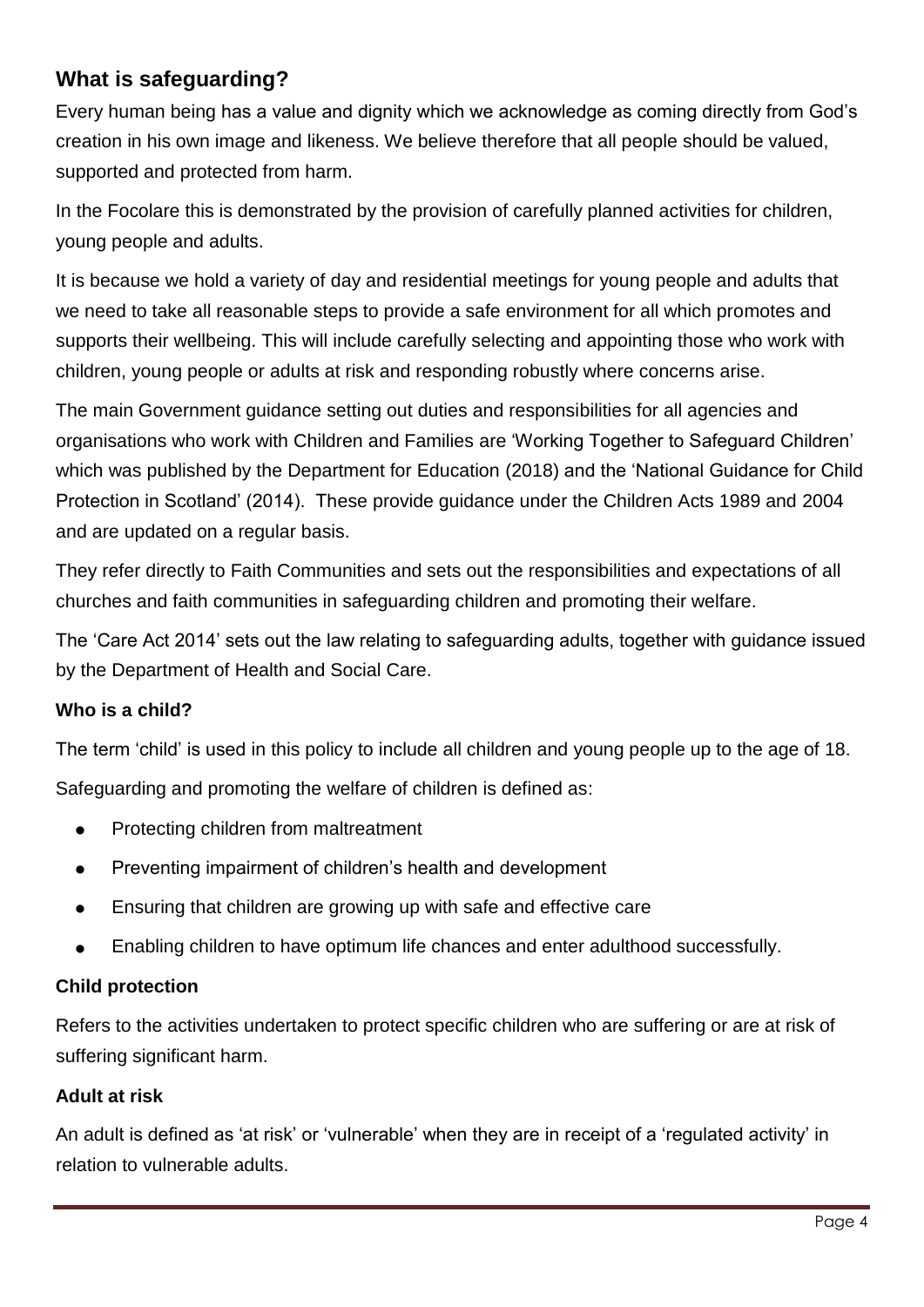### <span id="page-3-0"></span>**What is safeguarding?**

Every human being has a value and dignity which we acknowledge as coming directly from God's creation in his own image and likeness. We believe therefore that all people should be valued, supported and protected from harm.

In the Focolare this is demonstrated by the provision of carefully planned activities for children, young people and adults.

It is because we hold a variety of day and residential meetings for young people and adults that we need to take all reasonable steps to provide a safe environment for all which promotes and supports their wellbeing. This will include carefully selecting and appointing those who work with children, young people or adults at risk and responding robustly where concerns arise.

The main Government guidance setting out duties and responsibilities for all agencies and organisations who work with Children and Families are 'Working Together to Safeguard Children' which was published by the Department for Education (2018) and the 'National Guidance for Child Protection in Scotland' (2014). These provide guidance under the Children Acts 1989 and 2004 and are updated on a regular basis.

They refer directly to Faith Communities and sets out the responsibilities and expectations of all churches and faith communities in safeguarding children and promoting their welfare.

The 'Care Act 2014' sets out the law relating to safeguarding adults, together with guidance issued by the Department of Health and Social Care.

### **Who is a child?**

The term 'child' is used in this policy to include all children and young people up to the age of 18.

Safeguarding and promoting the welfare of children is defined as:

- Protecting children from maltreatment
- Preventing impairment of children's health and development
- Ensuring that children are growing up with safe and effective care
- Enabling children to have optimum life chances and enter adulthood successfully.

### **Child protection**

Refers to the activities undertaken to protect specific children who are suffering or are at risk of suffering significant harm.

### **Adult at risk**

An adult is defined as 'at risk' or 'vulnerable' when they are in receipt of a 'regulated activity' in relation to vulnerable adults.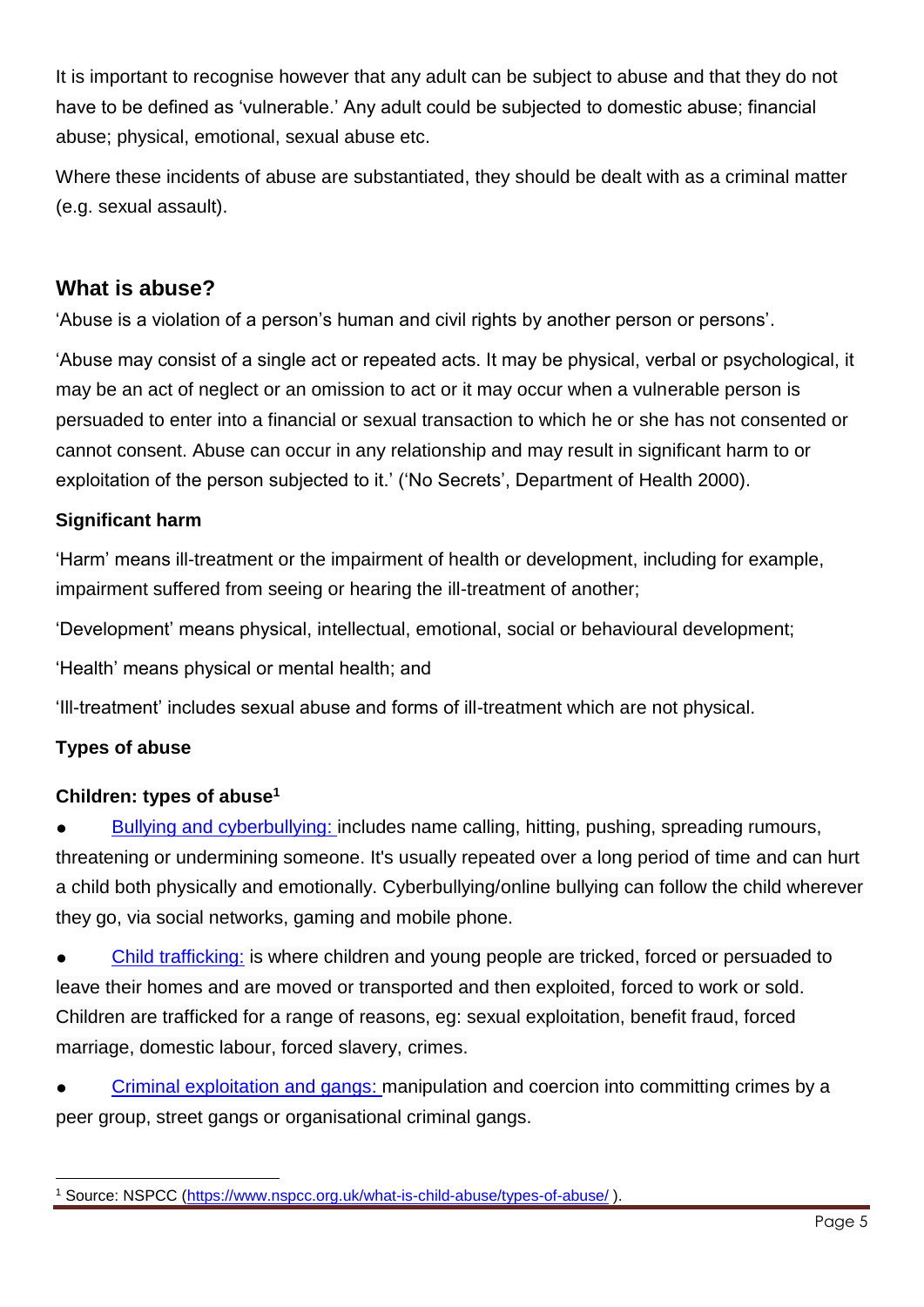It is important to recognise however that any adult can be subject to abuse and that they do not have to be defined as 'vulnerable.' Any adult could be subjected to domestic abuse; financial abuse; physical, emotional, sexual abuse etc.

Where these incidents of abuse are substantiated, they should be dealt with as a criminal matter (e.g. sexual assault).

### <span id="page-4-0"></span>**What is abuse?**

'Abuse is a violation of a person's human and civil rights by another person or persons'.

'Abuse may consist of a single act or repeated acts. It may be physical, verbal or psychological, it may be an act of neglect or an omission to act or it may occur when a vulnerable person is persuaded to enter into a financial or sexual transaction to which he or she has not consented or cannot consent. Abuse can occur in any relationship and may result in significant harm to or exploitation of the person subjected to it.' ('No Secrets', Department of Health 2000).

### **Significant harm**

'Harm' means ill-treatment or the impairment of health or development, including for example, impairment suffered from seeing or hearing the ill-treatment of another;

'Development' means physical, intellectual, emotional, social or behavioural development;

'Health' means physical or mental health; and

'Ill-treatment' includes sexual abuse and forms of ill-treatment which are not physical.

### **Types of abuse**

### **Children: types of abuse<sup>1</sup>**

[Bullying and cyberbullying:](https://www.nspcc.org.uk/what-is-child-abuse/types-of-abuse/bullying-and-cyberbullying/) includes name calling, hitting, pushing, spreading rumours, threatening or undermining someone. It's usually repeated over a long period of time and can hurt a child both physically and emotionally. Cyberbullying/online bullying can follow the child wherever they go, via social networks, gaming and mobile phone.

[Child trafficking:](https://www.nspcc.org.uk/what-is-child-abuse/types-of-abuse/child-trafficking/) is where children and young people are tricked, forced or persuaded to leave their homes and are moved or transported and then exploited, forced to work or sold. Children are trafficked for a range of reasons, eg: sexual exploitation, benefit fraud, forced marriage, domestic labour, forced slavery, crimes.

[Criminal exploitation and gangs:](https://www.nspcc.org.uk/what-is-child-abuse/types-of-abuse/gangs-criminal-exploitation/) manipulation and coercion into committing crimes by a peer group, street gangs or organisational criminal gangs.

l Source: NSPCC [\(https://www.nspcc.org.uk/what-is-child-abuse/types-of-abuse/](https://www.nspcc.org.uk/what-is-child-abuse/types-of-abuse/)).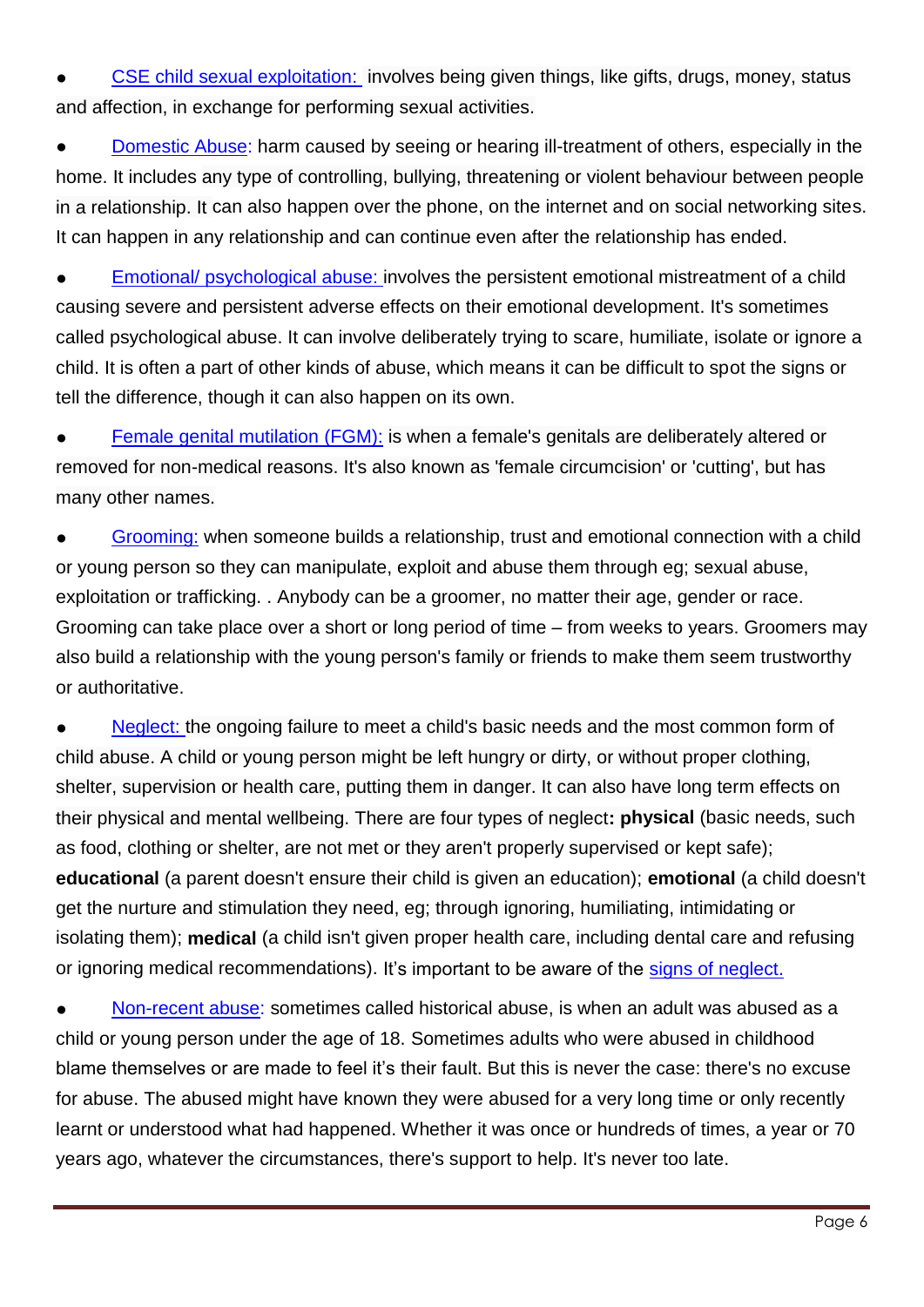[CSE child sexual exploitation:](https://www.nspcc.org.uk/what-is-child-abuse/types-of-abuse/child-sexual-exploitation/) involves being given things, like gifts, drugs, money, status and affection, in exchange for performing sexual activities.

[Domestic Abuse:](https://www.nspcc.org.uk/what-is-child-abuse/types-of-abuse/domestic-abuse/) harm caused by seeing or hearing ill-treatment of others, especially in the home. It includes any type of controlling, bullying, threatening or violent behaviour between people in a relationship. It can also happen over the phone, on the internet and on social networking sites. It can happen in any relationship and can continue even after the relationship has ended.

[Emotional/ psychological abuse:](https://www.nspcc.org.uk/what-is-child-abuse/types-of-abuse/emotional-abuse/) involves the persistent emotional mistreatment of a child causing severe and persistent adverse effects on their emotional development. It's sometimes called psychological abuse. It can involve deliberately trying to scare, humiliate, isolate or ignore a child. It is often a part of other kinds of abuse, which means it can be difficult to spot the signs or tell the difference, though it can also happen on its own.

[Female genital mutilation](https://www.nspcc.org.uk/what-is-child-abuse/types-of-abuse/female-genital-mutilation-fgm/) (FGM): is when a female's genitals are deliberately altered or removed for non-medical reasons. It's also known as 'female circumcision' or 'cutting', but has many other names.

[Grooming:](https://www.nspcc.org.uk/what-is-child-abuse/types-of-abuse/grooming/) when someone builds a relationship, trust and emotional connection with a child or young person so they can manipulate, exploit and abuse them through eg; sexual abuse, exploitation or trafficking. . Anybody can be a groomer, no matter their age, gender or race. Grooming can take place over a short or long period of time – from weeks to years. Groomers may also build a relationship with the young person's family or friends to make them seem trustworthy or authoritative.

[Neglect:](https://www.nspcc.org.uk/what-is-child-abuse/types-of-abuse/neglect/) the ongoing failure to meet a child's basic needs and the most common form of child abuse. A child or young person might be left hungry or dirty, or without proper clothing, shelter, supervision or health care, putting them in danger. It can also have long term effects on their physical and mental wellbeing. There are four types of neglect**: physical** (basic needs, such as food, clothing or shelter, are not met or they aren't properly supervised or kept safe); **educational** (a parent doesn't ensure their child is given an education); **emotional** (a child doesn't get the nurture and stimulation they need, eg; through ignoring, humiliating, intimidating or isolating them); **medical** (a child isn't given proper health care, including dental care and refusing or ignoring medical recommendations). It's important to be aware of the [signs of neglect.](https://www.nspcc.org.uk/what-is-child-abuse/types-of-abuse/neglect/#signs)

[Non-recent abuse:](https://www.nspcc.org.uk/what-is-child-abuse/types-of-abuse/non-recent-abuse/) sometimes called historical abuse, is when an adult was abused as a child or young person under the age of 18. Sometimes adults who were abused in childhood blame themselves or are made to feel it's their fault. But this is never the case: there's no excuse for abuse. The abused might have known they were abused for a very long time or only recently learnt or understood what had happened. Whether it was once or hundreds of times, a year or 70 years ago, whatever the circumstances, there's support to help. It's never too late.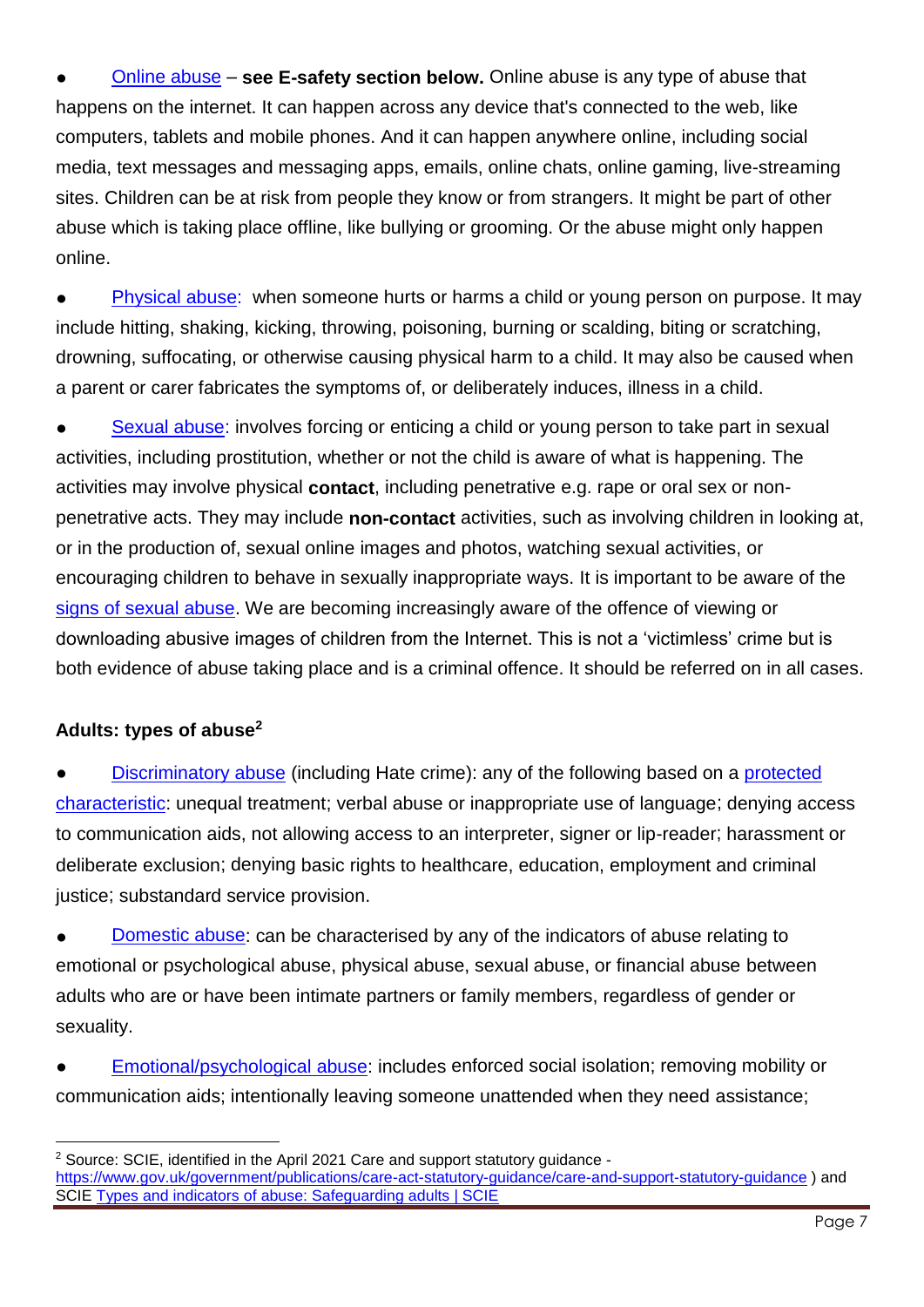[Online abuse](https://www.nspcc.org.uk/what-is-child-abuse/types-of-abuse/online-abuse/) – see E-safety section below. Online abuse is any type of abuse that happens on the internet. It can happen across any device that's connected to the web, like computers, tablets and mobile phones. And it can happen anywhere online, including social media, text messages and messaging apps, emails, online chats, online gaming, live-streaming sites. Children can be at risk from people they know or from strangers. It might be part of other abuse which is taking place offline, like bullying or grooming. Or the abuse might only happen online.

[Physical abuse:](https://www.nspcc.org.uk/what-is-child-abuse/types-of-abuse/physical-abuse/) when someone hurts or harms a child or young person on purpose. It may include hitting, shaking, kicking, throwing, poisoning, burning or scalding, biting or scratching, drowning, suffocating, or otherwise causing physical harm to a child. It may also be caused when a parent or carer fabricates the symptoms of, or deliberately induces, illness in a child.

[Sexual abuse:](https://www.nspcc.org.uk/what-is-child-abuse/types-of-abuse/child-sexual-abuse/) involves forcing or enticing a child or young person to take part in sexual activities, including prostitution, whether or not the child is aware of what is happening. The activities may involve physical **contact**, including penetrative e.g. rape or oral sex or nonpenetrative acts. They may include **non-contact** activities, such as involving children in looking at, or in the production of, sexual online images and photos, watching sexual activities, or encouraging children to behave in sexually inappropriate ways. It is important to be aware of the [signs of sexual abuse.](https://www.nspcc.org.uk/what-is-child-abuse/types-of-abuse/child-sexual-abuse/#signs) We are becoming increasingly aware of the offence of viewing or downloading abusive images of children from the Internet. This is not a 'victimless' crime but is both evidence of abuse taking place and is a criminal offence. It should be referred on in all cases.

### **Adults: types of abuse<sup>2</sup>**

l

[Discriminatory](https://www.scie.org.uk/safeguarding/adults/introduction/types-and-indicators-of-abuse#discriminatory) abuse (including Hate crime): any of the following based on a protected [characteristic:](https://www.equalityhumanrights.com/en/equality-act/protected-characteristics) unequal treatment; verbal abuse or inappropriate use of language; denying access to communication aids, not allowing access to an interpreter, signer or lip-reader; harassment or deliberate exclusion; denying basic rights to healthcare, education, employment and criminal justice; substandard service provision.

[Domestic](https://www.scie.org.uk/safeguarding/adults/introduction/types-and-indicators-of-abuse#domestic) abuse: can be characterised by any of the indicators of abuse relating to emotional or psychological abuse, physical abuse, sexual abuse, or financial abuse between adults who are or have been intimate partners or family members, regardless of gender or sexuality.

[Emotional/psychological abuse:](https://www.scie.org.uk/safeguarding/adults/introduction/types-and-indicators-of-abuse#psychological) includes enforced social isolation; removing mobility or communication aids; intentionally leaving someone unattended when they need assistance;

<sup>2</sup> Source: SCIE, identified in the April 2021 Care and support statutory guidance <https://www.gov.uk/government/publications/care-act-statutory-guidance/care-and-support-statutory-guidance> ) and SCIE [Types and indicators of abuse: Safeguarding adults | SCIE](https://www.scie.org.uk/safeguarding/adults/introduction/types-and-indicators-of-abuse#domestic)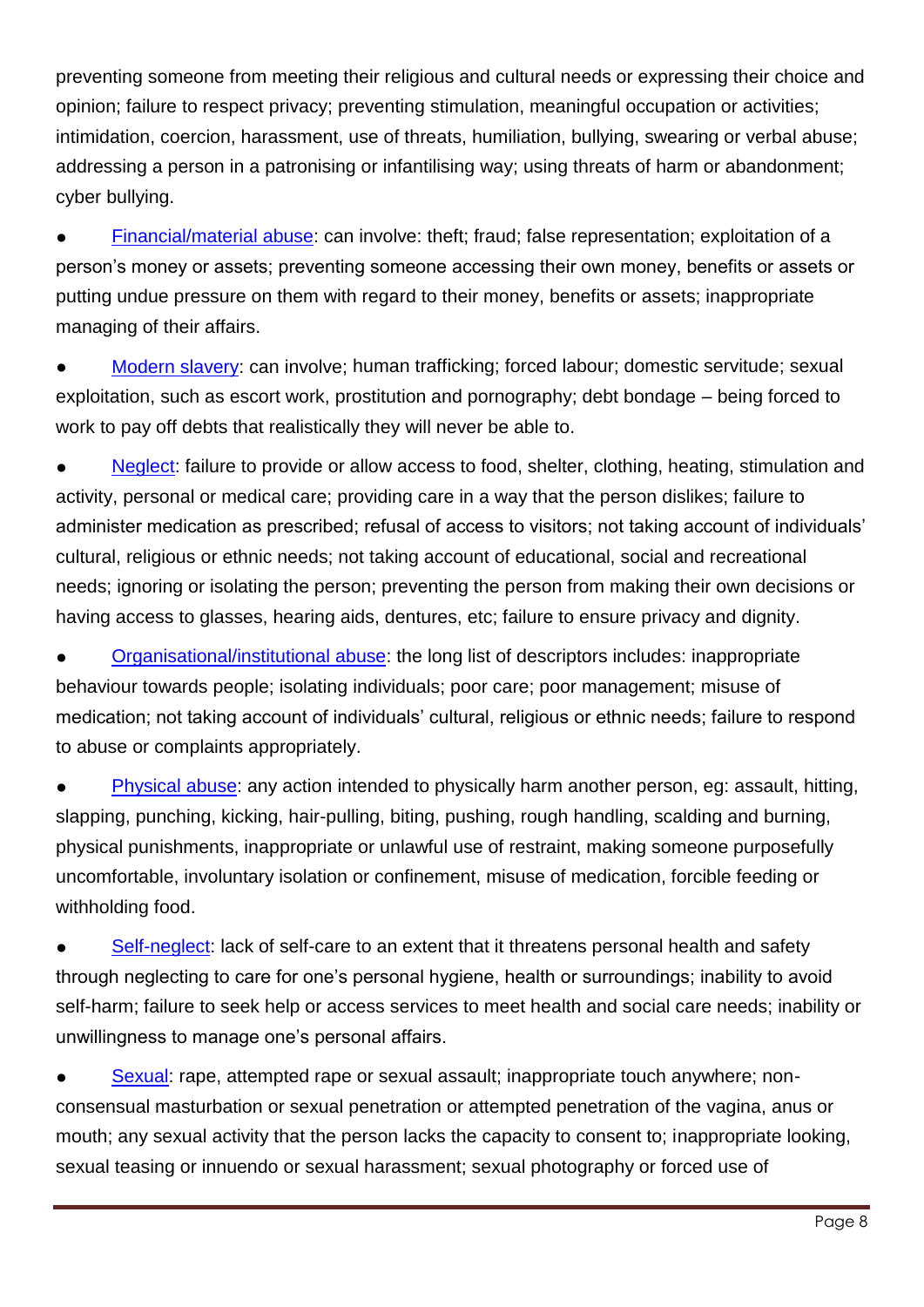preventing someone from meeting their religious and cultural needs or expressing their choice and opinion; failure to respect privacy; preventing stimulation, meaningful occupation or activities; intimidation, coercion, harassment, use of threats, humiliation, bullying, swearing or verbal abuse; addressing a person in a patronising or infantilising way; using threats of harm or abandonment; cyber bullying.

[Financial/material](https://www.scie.org.uk/safeguarding/adults/introduction/types-and-indicators-of-abuse#financial) abuse: can involve: theft; fraud; false representation; exploitation of a person's money or assets; preventing someone accessing their own money, benefits or assets or putting undue pressure on them with regard to their money, benefits or assets; inappropriate managing of their affairs.

[Modern slavery:](https://www.scie.org.uk/safeguarding/adults/introduction/types-and-indicators-of-abuse#modern-slavery) can involve; human trafficking; forced labour; domestic servitude; sexual exploitation, such as escort work, prostitution and pornography; debt bondage – being forced to work to pay off debts that realistically they will never be able to.

[Neglect:](https://www.scie.org.uk/safeguarding/adults/introduction/types-and-indicators-of-abuse#neglect) failure to provide or allow access to food, shelter, clothing, heating, stimulation and activity, personal or medical care; providing care in a way that the person dislikes; failure to administer medication as prescribed; refusal of access to visitors; not taking account of individuals' cultural, religious or ethnic needs; not taking account of educational, social and recreational needs; ignoring or isolating the person; preventing the person from making their own decisions or having access to glasses, hearing aids, dentures, etc; failure to ensure privacy and dignity.

[Organisational/institutional](file:///C:/Users/Paul%20Gateshill/AppData/Local/Packages/microsoft.windowscommunicationsapps_8wekyb3d8bbwe/LocalState/Files/S0/19725/Attachments/Discouraging%20visits%20or%20the%20involvement%20of%20relatives%20or%20friends) abuse: the long list of descriptors includes: inappropriate behaviour towards people; isolating individuals; poor care; poor management; misuse of medication; not taking account of individuals' cultural, religious or ethnic needs; failure to respond to abuse or complaints appropriately.

[Physical abuse:](https://www.scie.org.uk/safeguarding/adults/introduction/types-and-indicators-of-abuse#physical) any action intended to physically harm another person, eg: assault, hitting, slapping, punching, kicking, hair-pulling, biting, pushing, rough handling, scalding and burning, physical punishments, inappropriate or unlawful use of restraint, making someone purposefully uncomfortable, involuntary isolation or confinement, misuse of medication, forcible feeding or withholding food.

[Self-neglect:](https://www.scie.org.uk/safeguarding/adults/introduction/types-and-indicators-of-abuse#self-neglect) lack of self-care to an extent that it threatens personal health and safety through neglecting to care for one's personal hygiene, health or surroundings; inability to avoid self-harm; failure to seek help or access services to meet health and social care needs; inability or unwillingness to manage one's personal affairs.

• [Sexual:](https://www.scie.org.uk/safeguarding/adults/introduction/types-and-indicators-of-abuse#sexual) rape, attempted rape or sexual assault; inappropriate touch anywhere; nonconsensual masturbation or sexual penetration or attempted penetration of the vagina, anus or mouth; any sexual activity that the person lacks the capacity to consent to; inappropriate looking, sexual teasing or innuendo or sexual harassment; sexual photography or forced use of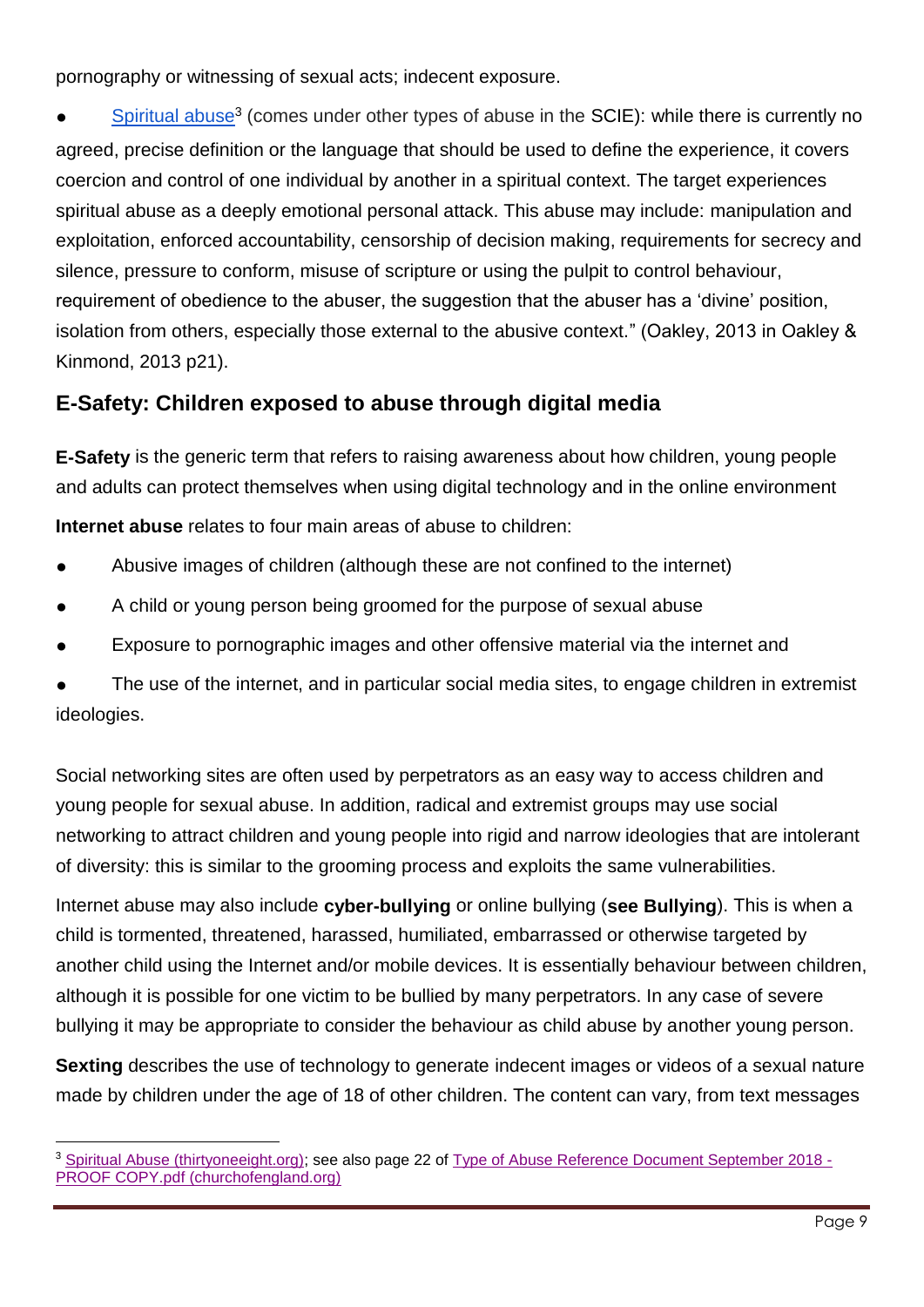pornography or witnessing of sexual acts; indecent exposure.

**•** [Spiritual abuse](https://thirtyoneeight.org/get-help/resources/practice-guides-text/spiritual-abuse/)<sup>3</sup> (comes under other types of abuse in the SCIE): while there is currently no agreed, precise definition or the language that should be used to define the experience, it covers coercion and control of one individual by another in a spiritual context. The target experiences spiritual abuse as a deeply emotional personal attack. This abuse may include: manipulation and exploitation, enforced accountability, censorship of decision making, requirements for secrecy and silence, pressure to conform, misuse of scripture or using the pulpit to control behaviour, requirement of obedience to the abuser, the suggestion that the abuser has a 'divine' position, isolation from others, especially those external to the abusive context." (Oakley, 2013 in Oakley & Kinmond, 2013 p21).

### <span id="page-8-0"></span>**E-Safety: Children exposed to abuse through digital media**

**E-Safety** is the generic term that refers to raising awareness about how children, young people and adults can protect themselves when using digital technology and in the online environment

**Internet abuse** relates to four main areas of abuse to children:

- Abusive images of children (although these are not confined to the internet)
- A child or young person being groomed for the purpose of sexual abuse
- Exposure to pornographic images and other offensive material via the internet and

The use of the internet, and in particular social media sites, to engage children in extremist ideologies.

Social networking sites are often used by perpetrators as an easy way to access children and young people for sexual abuse. In addition, radical and extremist groups may use social networking to attract children and young people into rigid and narrow ideologies that are intolerant of diversity: this is similar to the grooming process and exploits the same vulnerabilities.

Internet abuse may also include **cyber-bullying** or online bullying (**see Bullying**). This is when a child is tormented, threatened, harassed, humiliated, embarrassed or otherwise targeted by another child using the Internet and/or mobile devices. It is essentially behaviour between children, although it is possible for one victim to be bullied by many perpetrators. In any case of severe bullying it may be appropriate to consider the behaviour as child abuse by another young person.

**Sexting** describes the use of technology to generate indecent images or videos of a sexual nature made by children under the age of 18 of other children. The content can vary, from text messages

l <sup>3</sup> [Spiritual Abuse \(thirtyoneeight.org\);](https://thirtyoneeight.org/get-help/resources/practice-guides-text/spiritual-abuse/) see also page 22 of [Type of Abuse Reference Document September 2018 -](https://www.churchofengland.org/sites/default/files/2018-10/Type%20of%20Abuse%20Reference%20Document%20September%202018%20-%20PROOF%20COPY.pdf) [PROOF COPY.pdf \(churchofengland.org\)](https://www.churchofengland.org/sites/default/files/2018-10/Type%20of%20Abuse%20Reference%20Document%20September%202018%20-%20PROOF%20COPY.pdf)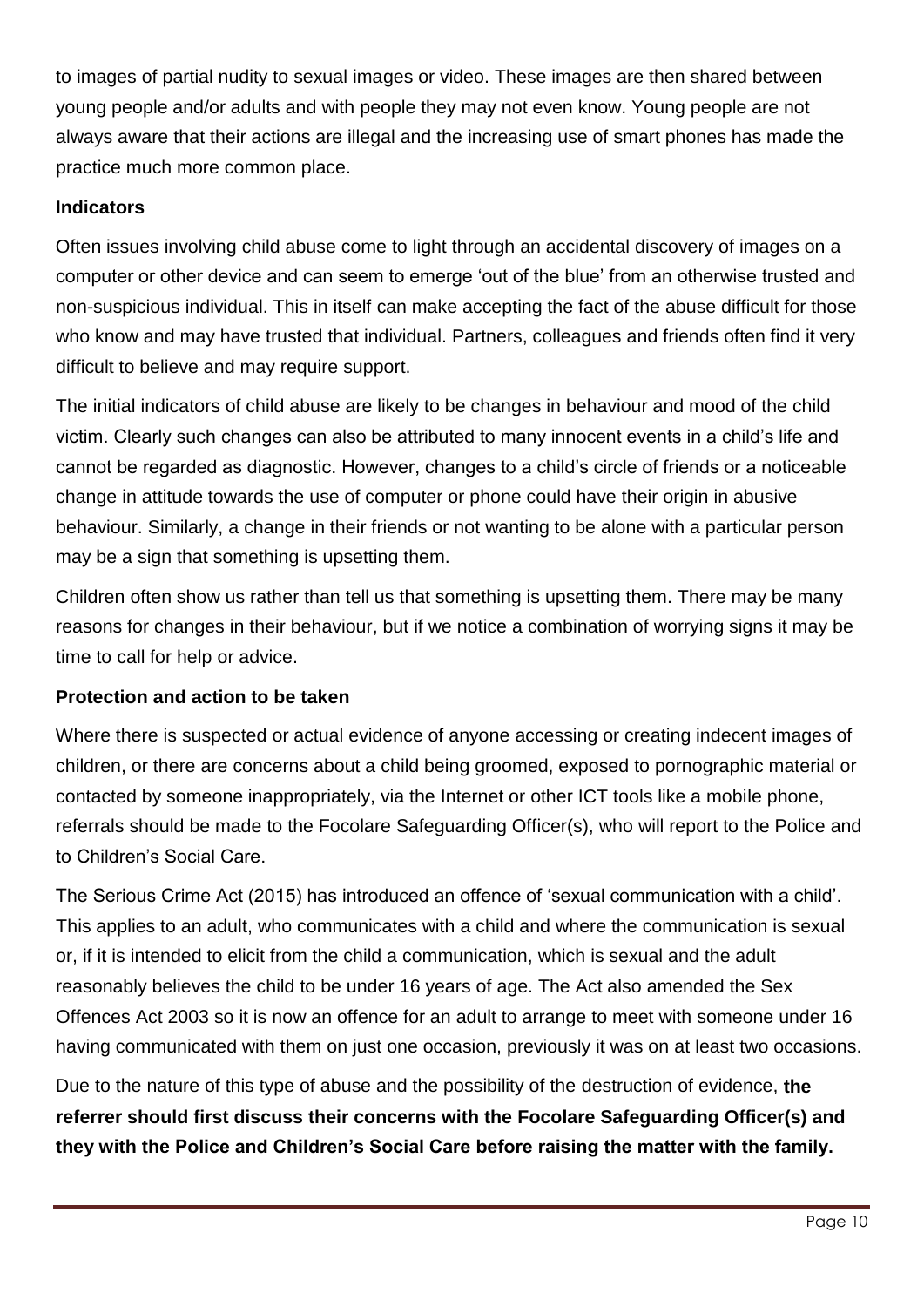to images of partial nudity to sexual images or video. These images are then shared between young people and/or adults and with people they may not even know. Young people are not always aware that their actions are illegal and the increasing use of smart phones has made the practice much more common place.

### **Indicators**

Often issues involving child abuse come to light through an accidental discovery of images on a computer or other device and can seem to emerge 'out of the blue' from an otherwise trusted and non-suspicious individual. This in itself can make accepting the fact of the abuse difficult for those who know and may have trusted that individual. Partners, colleagues and friends often find it very difficult to believe and may require support.

The initial indicators of child abuse are likely to be changes in behaviour and mood of the child victim. Clearly such changes can also be attributed to many innocent events in a child's life and cannot be regarded as diagnostic. However, changes to a child's circle of friends or a noticeable change in attitude towards the use of computer or phone could have their origin in abusive behaviour. Similarly, a change in their friends or not wanting to be alone with a particular person may be a sign that something is upsetting them.

Children often show us rather than tell us that something is upsetting them. There may be many reasons for changes in their behaviour, but if we notice a combination of worrying signs it may be time to call for help or advice.

### **Protection and action to be taken**

Where there is suspected or actual evidence of anyone accessing or creating indecent images of children, or there are concerns about a child being groomed, exposed to pornographic material or contacted by someone inappropriately, via the Internet or other ICT tools like a mobile phone, referrals should be made to the Focolare Safeguarding Officer(s), who will report to the Police and to Children's Social Care.

The Serious Crime Act (2015) has introduced an offence of 'sexual communication with a child'. This applies to an adult, who communicates with a child and where the communication is sexual or, if it is intended to elicit from the child a communication, which is sexual and the adult reasonably believes the child to be under 16 years of age. The Act also amended the Sex Offences Act 2003 so it is now an offence for an adult to arrange to meet with someone under 16 having communicated with them on just one occasion, previously it was on at least two occasions.

Due to the nature of this type of abuse and the possibility of the destruction of evidence, **the referrer should first discuss their concerns with the Focolare Safeguarding Officer(s) and they with the Police and Children's Social Care before raising the matter with the family.**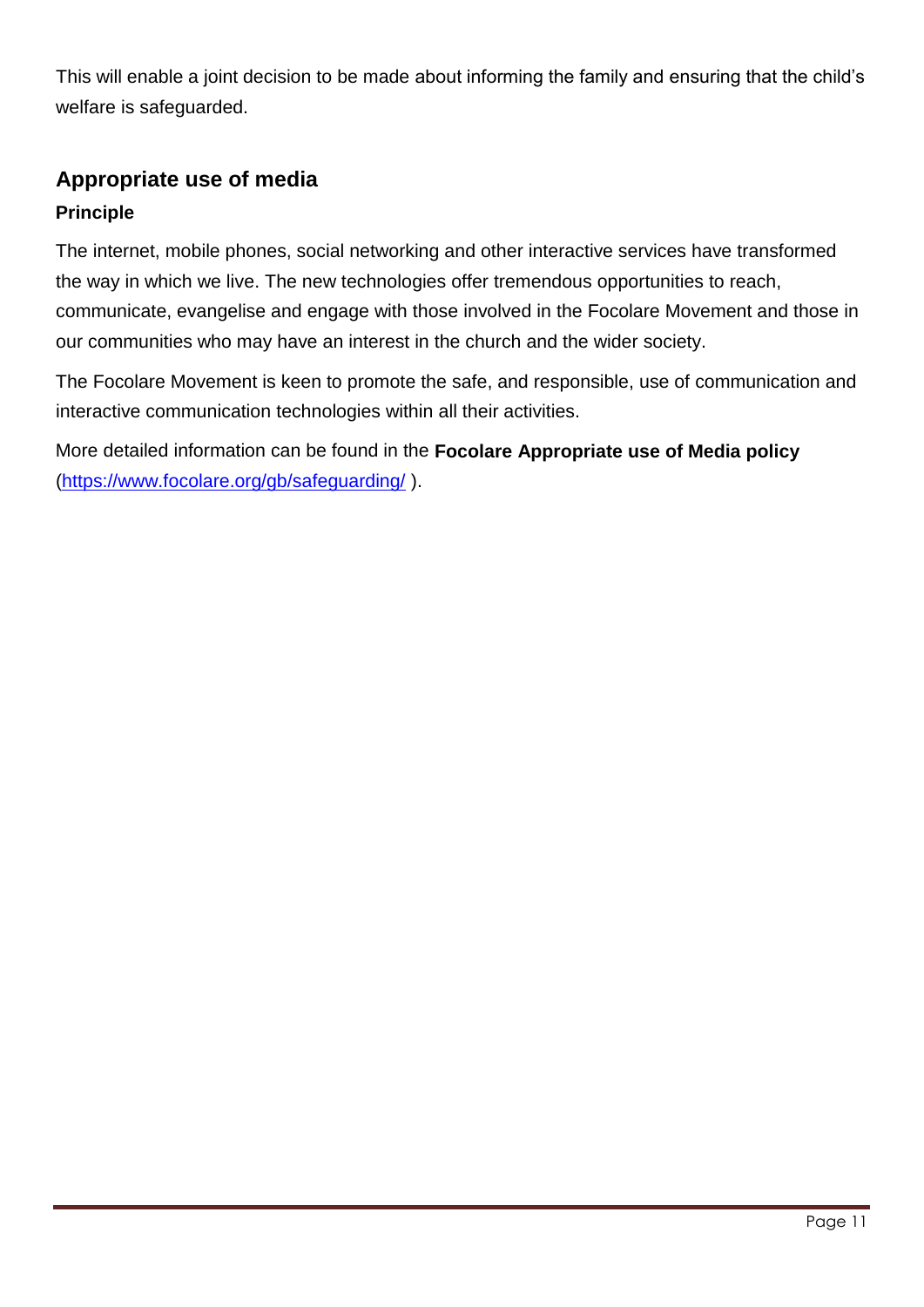This will enable a joint decision to be made about informing the family and ensuring that the child's welfare is safeguarded.

### <span id="page-10-0"></span>**Appropriate use of media**

### **Principle**

The internet, mobile phones, social networking and other interactive services have transformed the way in which we live. The new technologies offer tremendous opportunities to reach, communicate, evangelise and engage with those involved in the Focolare Movement and those in our communities who may have an interest in the church and the wider society.

The Focolare Movement is keen to promote the safe, and responsible, use of communication and interactive communication technologies within all their activities.

More detailed information can be found in the **Focolare Appropriate use of Media policy** [\(https://www.focolare.org/gb/safeguarding/](https://www.focolare.org/gb/safeguarding/) ).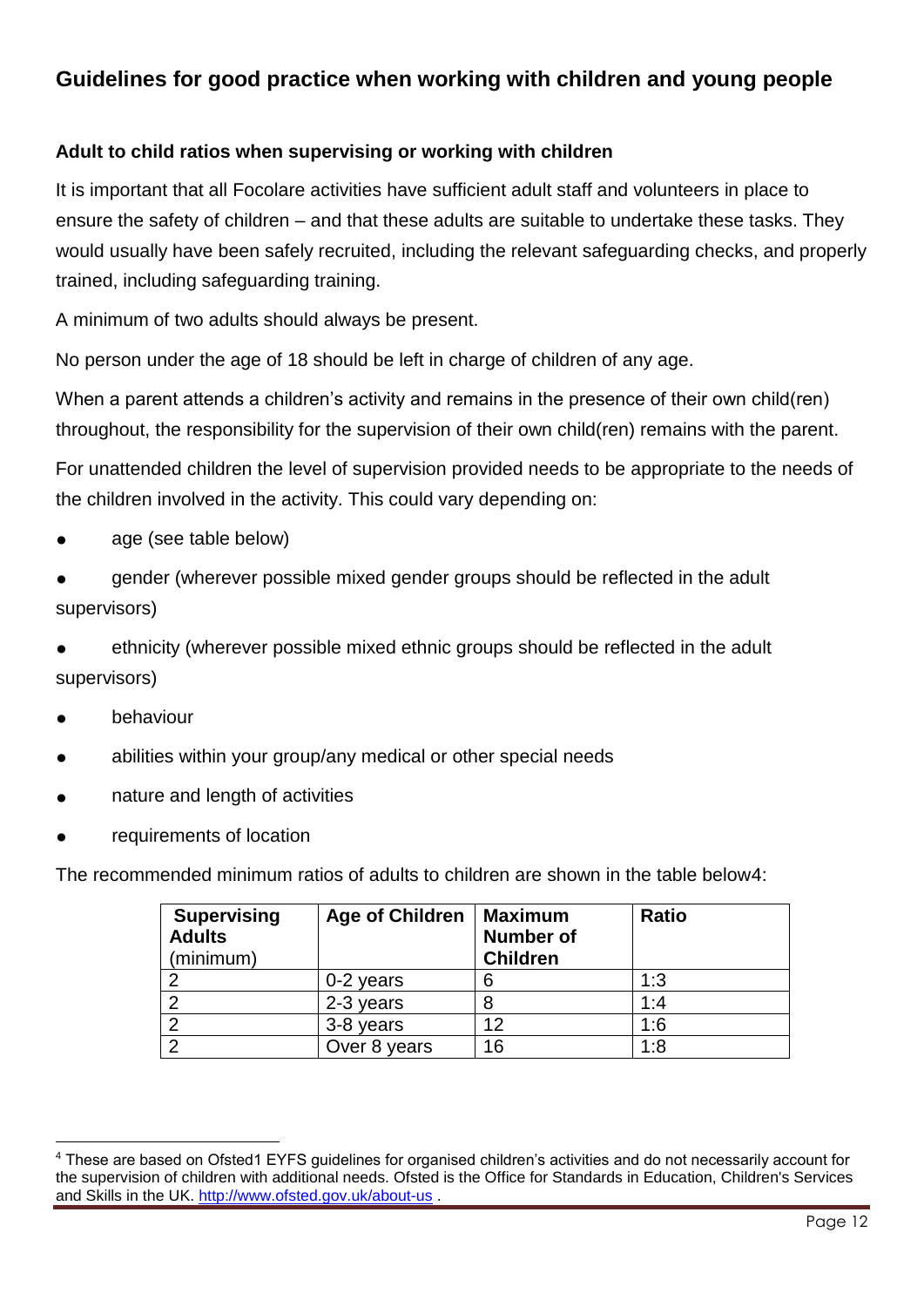### <span id="page-11-0"></span>**Guidelines for good practice when working with children and young people**

### **Adult to child ratios when supervising or working with children**

It is important that all Focolare activities have sufficient adult staff and volunteers in place to ensure the safety of children – and that these adults are suitable to undertake these tasks. They would usually have been safely recruited, including the relevant safeguarding checks, and properly trained, including safeguarding training.

A minimum of two adults should always be present.

No person under the age of 18 should be left in charge of children of any age.

When a parent attends a children's activity and remains in the presence of their own child(ren) throughout, the responsibility for the supervision of their own child(ren) remains with the parent.

For unattended children the level of supervision provided needs to be appropriate to the needs of the children involved in the activity. This could vary depending on:

- age (see table below)
- gender (wherever possible mixed gender groups should be reflected in the adult supervisors)
- ethnicity (wherever possible mixed ethnic groups should be reflected in the adult supervisors)
- behaviour
- abilities within your group/any medical or other special needs
- nature and length of activities
- requirements of location

The recommended minimum ratios of adults to children are shown in the table below4:

| <b>Supervising</b><br><b>Adults</b><br>(minimum) | <b>Age of Children</b> | Maximum<br><b>Number of</b><br><b>Children</b> | <b>Ratio</b> |
|--------------------------------------------------|------------------------|------------------------------------------------|--------------|
|                                                  | $0-2$ years            | 6                                              | 1:3          |
|                                                  | 2-3 years              |                                                | 1:4          |
|                                                  | 3-8 years              | 12                                             | 1:6          |
| റ                                                | Over 8 years           | 16                                             | 1:8          |

 <sup>4</sup> These are based on Ofsted1 EYFS guidelines for organised children's activities and do not necessarily account for the supervision of children with additional needs. Ofsted is the Office for Standards in Education, Children's Services and Skills in the UK.<http://www.ofsted.gov.uk/about-us> .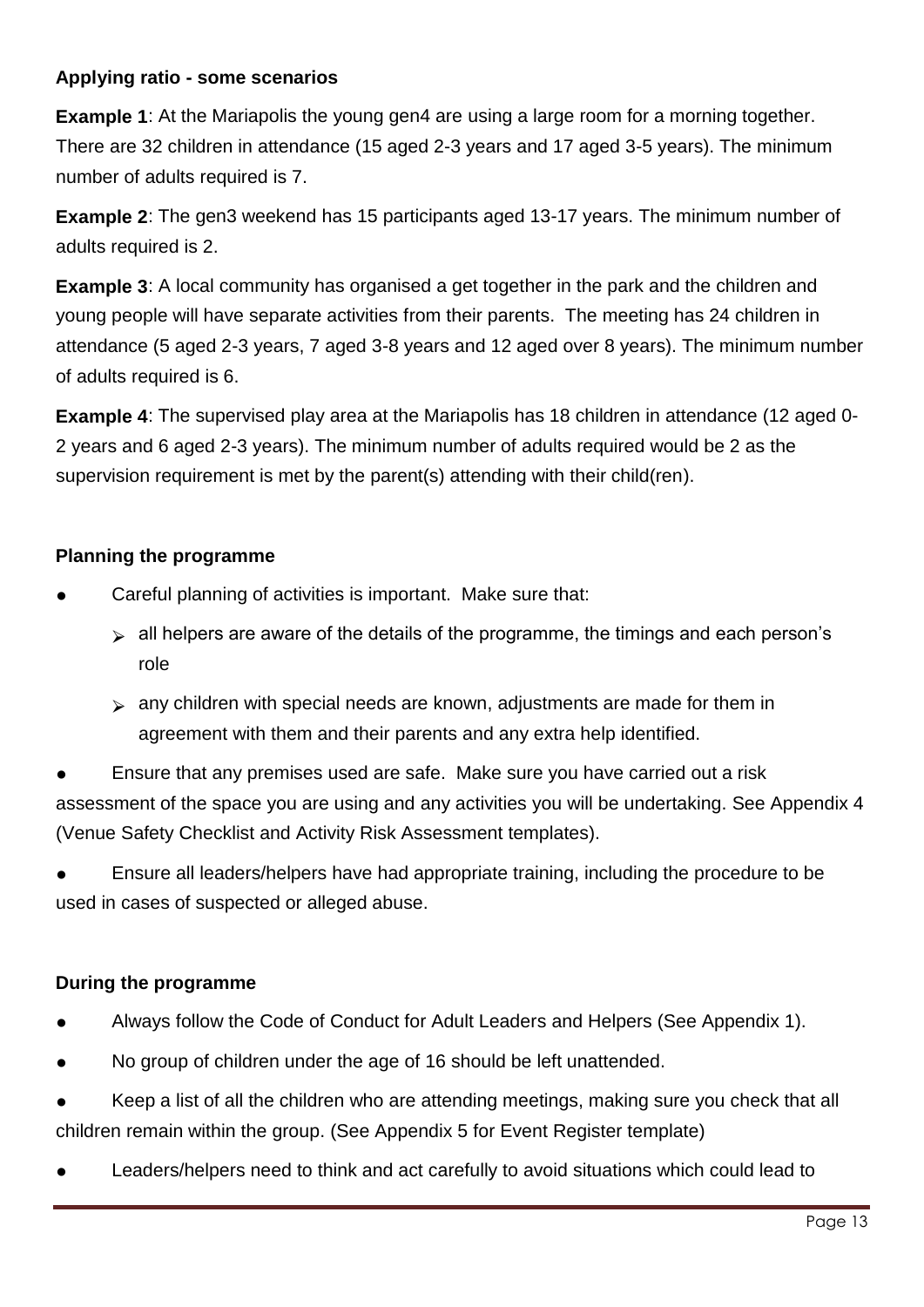### **Applying ratio - some scenarios**

**Example 1**: At the Mariapolis the young gen4 are using a large room for a morning together. There are 32 children in attendance (15 aged 2-3 years and 17 aged 3-5 years). The minimum number of adults required is 7.

**Example 2**: The gen3 weekend has 15 participants aged 13-17 years. The minimum number of adults required is 2.

**Example 3:** A local community has organised a get together in the park and the children and young people will have separate activities from their parents. The meeting has 24 children in attendance (5 aged 2-3 years, 7 aged 3-8 years and 12 aged over 8 years). The minimum number of adults required is 6.

**Example 4**: The supervised play area at the Mariapolis has 18 children in attendance (12 aged 0- 2 years and 6 aged 2-3 years). The minimum number of adults required would be 2 as the supervision requirement is met by the parent(s) attending with their child(ren).

### **Planning the programme**

- Careful planning of activities is important. Make sure that:
	- $\triangleright$  all helpers are aware of the details of the programme, the timings and each person's role
	- $\triangleright$  any children with special needs are known, adjustments are made for them in agreement with them and their parents and any extra help identified.

Ensure that any premises used are safe. Make sure you have carried out a risk assessment of the space you are using and any activities you will be undertaking. See Appendix 4 (Venue Safety Checklist and Activity Risk Assessment templates).

Ensure all leaders/helpers have had appropriate training, including the procedure to be used in cases of suspected or alleged abuse.

### **During the programme**

- Always follow the Code of Conduct for Adult Leaders and Helpers (See Appendix 1).
- No group of children under the age of 16 should be left unattended.
- Keep a list of all the children who are attending meetings, making sure you check that all children remain within the group. (See Appendix 5 for Event Register template)
- Leaders/helpers need to think and act carefully to avoid situations which could lead to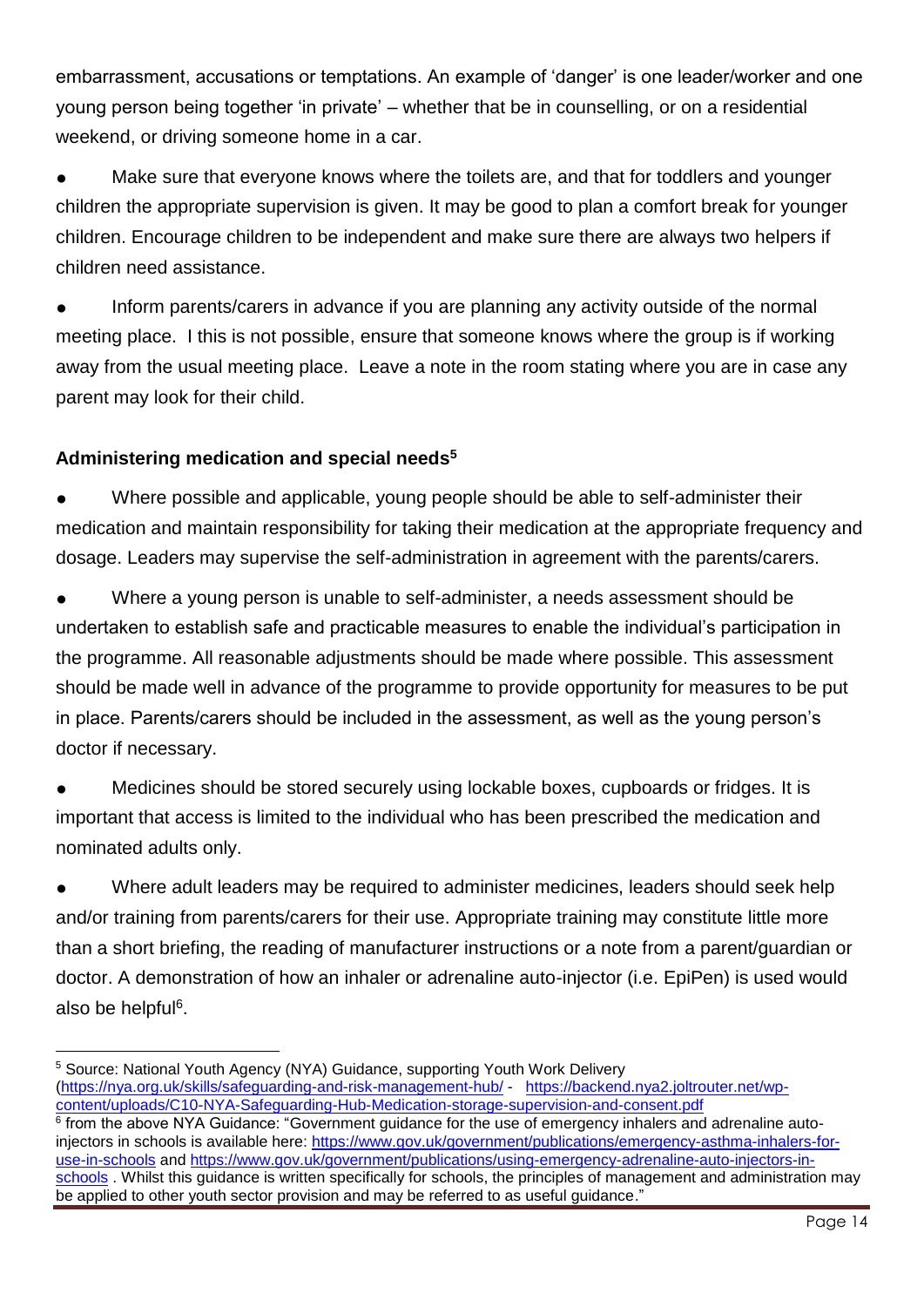embarrassment, accusations or temptations. An example of 'danger' is one leader/worker and one young person being together 'in private' – whether that be in counselling, or on a residential weekend, or driving someone home in a car.

Make sure that everyone knows where the toilets are, and that for toddlers and younger children the appropriate supervision is given. It may be good to plan a comfort break for younger children. Encourage children to be independent and make sure there are always two helpers if children need assistance.

Inform parents/carers in advance if you are planning any activity outside of the normal meeting place. I this is not possible, ensure that someone knows where the group is if working away from the usual meeting place. Leave a note in the room stating where you are in case any parent may look for their child.

### **Administering medication and special needs<sup>5</sup>**

Where possible and applicable, young people should be able to self-administer their medication and maintain responsibility for taking their medication at the appropriate frequency and dosage. Leaders may supervise the self-administration in agreement with the parents/carers.

Where a young person is unable to self-administer, a needs assessment should be undertaken to establish safe and practicable measures to enable the individual's participation in the programme. All reasonable adjustments should be made where possible. This assessment should be made well in advance of the programme to provide opportunity for measures to be put in place. Parents/carers should be included in the assessment, as well as the young person's doctor if necessary.

Medicines should be stored securely using lockable boxes, cupboards or fridges. It is important that access is limited to the individual who has been prescribed the medication and nominated adults only.

Where adult leaders may be required to administer medicines, leaders should seek help and/or training from parents/carers for their use. Appropriate training may constitute little more than a short briefing, the reading of manufacturer instructions or a note from a parent/guardian or doctor. A demonstration of how an inhaler or adrenaline auto-injector (i.e. EpiPen) is used would also be helpful<sup>6</sup>.

 <sup>5</sup> Source: National Youth Agency (NYA) Guidance, supporting Youth Work Delivery [\(https://nya.org.uk/skills/safeguarding-and-risk-management-hub/](https://nya.org.uk/skills/safeguarding-and-risk-management-hub/) - [https://backend.nya2.joltrouter.net/wp](https://backend.nya2.joltrouter.net/wp-content/uploads/C10-NYA-Safeguarding-Hub-Medication-storage-supervision-and-consent.pdf)[content/uploads/C10-NYA-Safeguarding-Hub-Medication-storage-supervision-and-consent.pdf](https://backend.nya2.joltrouter.net/wp-content/uploads/C10-NYA-Safeguarding-Hub-Medication-storage-supervision-and-consent.pdf)

<sup>&</sup>lt;sup>6</sup> from the above NYA Guidance: "Government guidance for the use of emergency inhalers and adrenaline autoinjectors in schools is available here: [https://www.gov.uk/government/publications/emergency-asthma-inhalers-for](https://www.gov.uk/government/publications/emergency-asthma-inhalers-for-use-in-schools)[use-in-schools](https://www.gov.uk/government/publications/emergency-asthma-inhalers-for-use-in-schools) and [https://www.gov.uk/government/publications/using-emergency-adrenaline-auto-injectors-in](https://www.gov.uk/government/publications/using-emergency-adrenaline-auto-injectors-in-schools)[schools](https://www.gov.uk/government/publications/using-emergency-adrenaline-auto-injectors-in-schools) . Whilst this guidance is written specifically for schools, the principles of management and administration may be applied to other youth sector provision and may be referred to as useful guidance."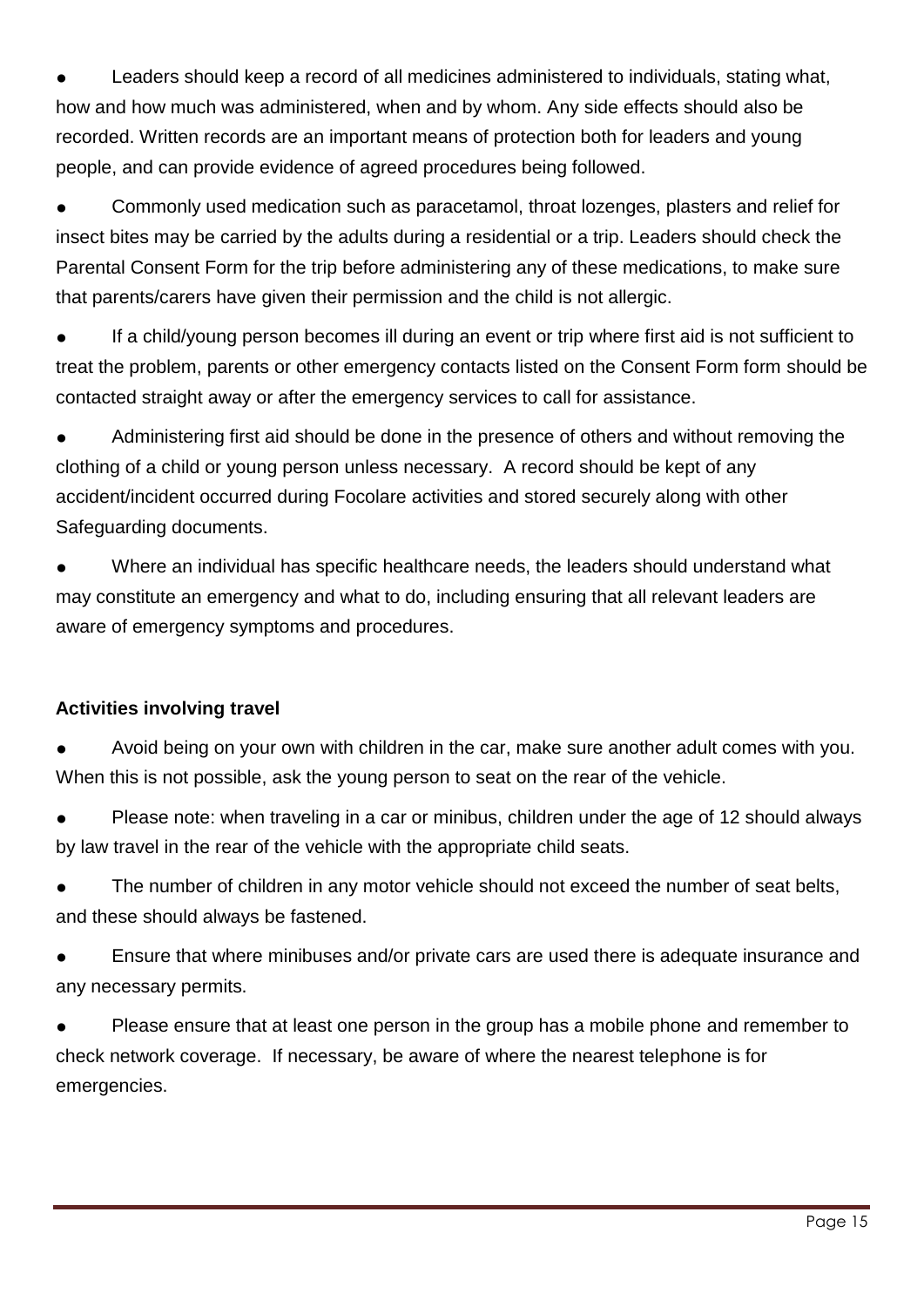Leaders should keep a record of all medicines administered to individuals, stating what, how and how much was administered, when and by whom. Any side effects should also be recorded. Written records are an important means of protection both for leaders and young people, and can provide evidence of agreed procedures being followed.

Commonly used medication such as paracetamol, throat lozenges, plasters and relief for insect bites may be carried by the adults during a residential or a trip. Leaders should check the Parental Consent Form for the trip before administering any of these medications, to make sure that parents/carers have given their permission and the child is not allergic.

If a child/young person becomes ill during an event or trip where first aid is not sufficient to treat the problem, parents or other emergency contacts listed on the Consent Form form should be contacted straight away or after the emergency services to call for assistance.

Administering first aid should be done in the presence of others and without removing the clothing of a child or young person unless necessary. A record should be kept of any accident/incident occurred during Focolare activities and stored securely along with other Safeguarding documents.

Where an individual has specific healthcare needs, the leaders should understand what may constitute an emergency and what to do, including ensuring that all relevant leaders are aware of emergency symptoms and procedures.

### **Activities involving travel**

Avoid being on your own with children in the car, make sure another adult comes with you. When this is not possible, ask the young person to seat on the rear of the vehicle.

Please note: when traveling in a car or minibus, children under the age of 12 should always by law travel in the rear of the vehicle with the appropriate child seats.

The number of children in any motor vehicle should not exceed the number of seat belts, and these should always be fastened.

Ensure that where minibuses and/or private cars are used there is adequate insurance and any necessary permits.

<span id="page-14-0"></span>Please ensure that at least one person in the group has a mobile phone and remember to check network coverage. If necessary, be aware of where the nearest telephone is for emergencies.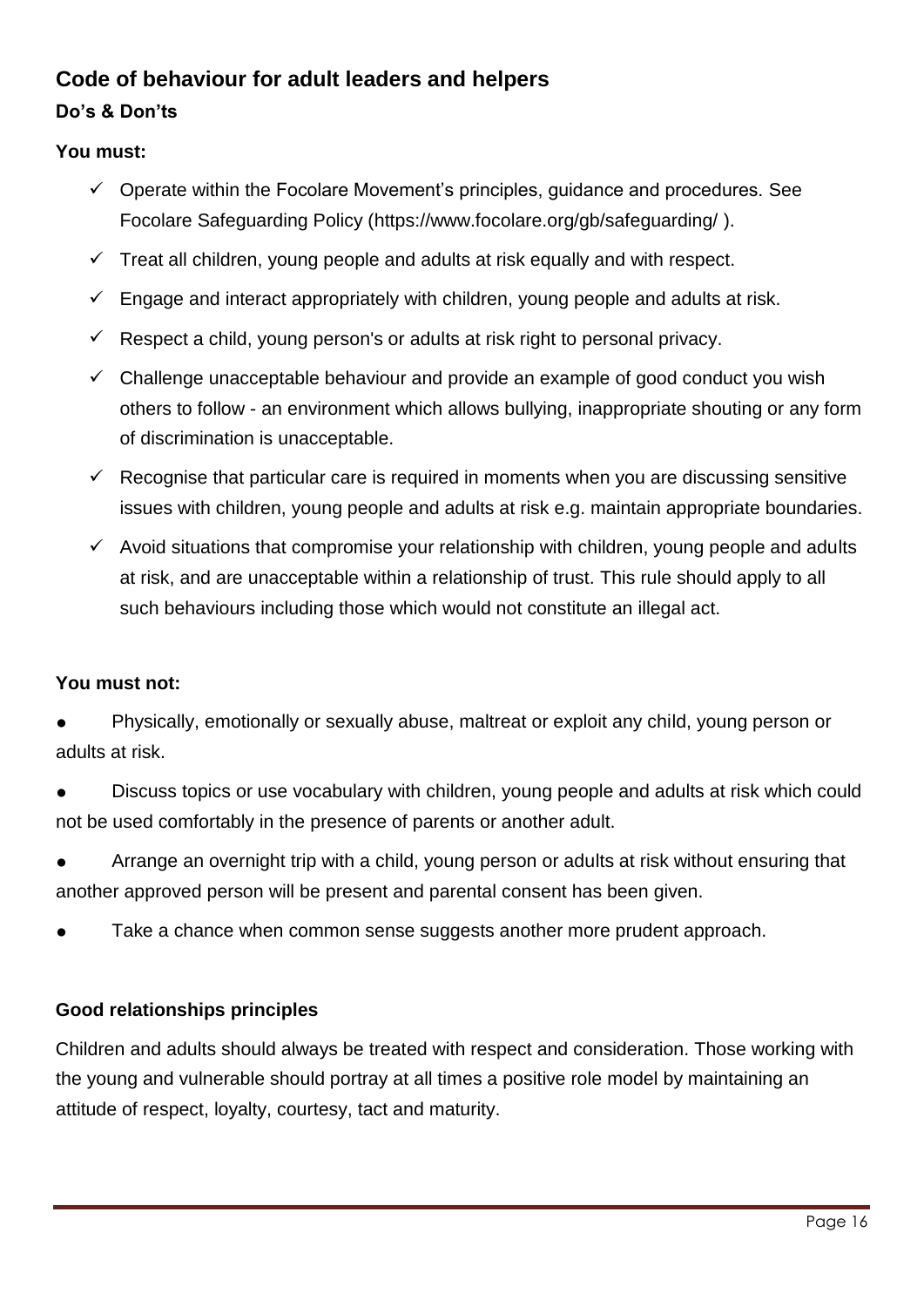### **Code of behaviour for adult leaders and helpers**

### **Do's & Don'ts**

### **You must:**

- $\checkmark$  Operate within the Focolare Movement's principles, quidance and procedures. See Focolare Safeguarding Policy [\(https://www.focolare.org/gb/safeguarding/](https://www.focolare.org/gb/safeguarding/) ).
- $\checkmark$  Treat all children, young people and adults at risk equally and with respect.
- $\checkmark$  Engage and interact appropriately with children, young people and adults at risk.
- $\checkmark$  Respect a child, young person's or adults at risk right to personal privacy.
- $\checkmark$  Challenge unacceptable behaviour and provide an example of good conduct you wish others to follow - an environment which allows bullying, inappropriate shouting or any form of discrimination is unacceptable.
- $\checkmark$  Recognise that particular care is required in moments when you are discussing sensitive issues with children, young people and adults at risk e.g. maintain appropriate boundaries.
- $\checkmark$  Avoid situations that compromise your relationship with children, young people and adults at risk, and are unacceptable within a relationship of trust. This rule should apply to all such behaviours including those which would not constitute an illegal act.

### **You must not:**

Physically, emotionally or sexually abuse, maltreat or exploit any child, young person or adults at risk.

Discuss topics or use vocabulary with children, young people and adults at risk which could not be used comfortably in the presence of parents or another adult.

Arrange an overnight trip with a child, young person or adults at risk without ensuring that another approved person will be present and parental consent has been given.

Take a chance when common sense suggests another more prudent approach.

### **Good relationships principles**

Children and adults should always be treated with respect and consideration. Those working with the young and vulnerable should portray at all times a positive role model by maintaining an attitude of respect, loyalty, courtesy, tact and maturity.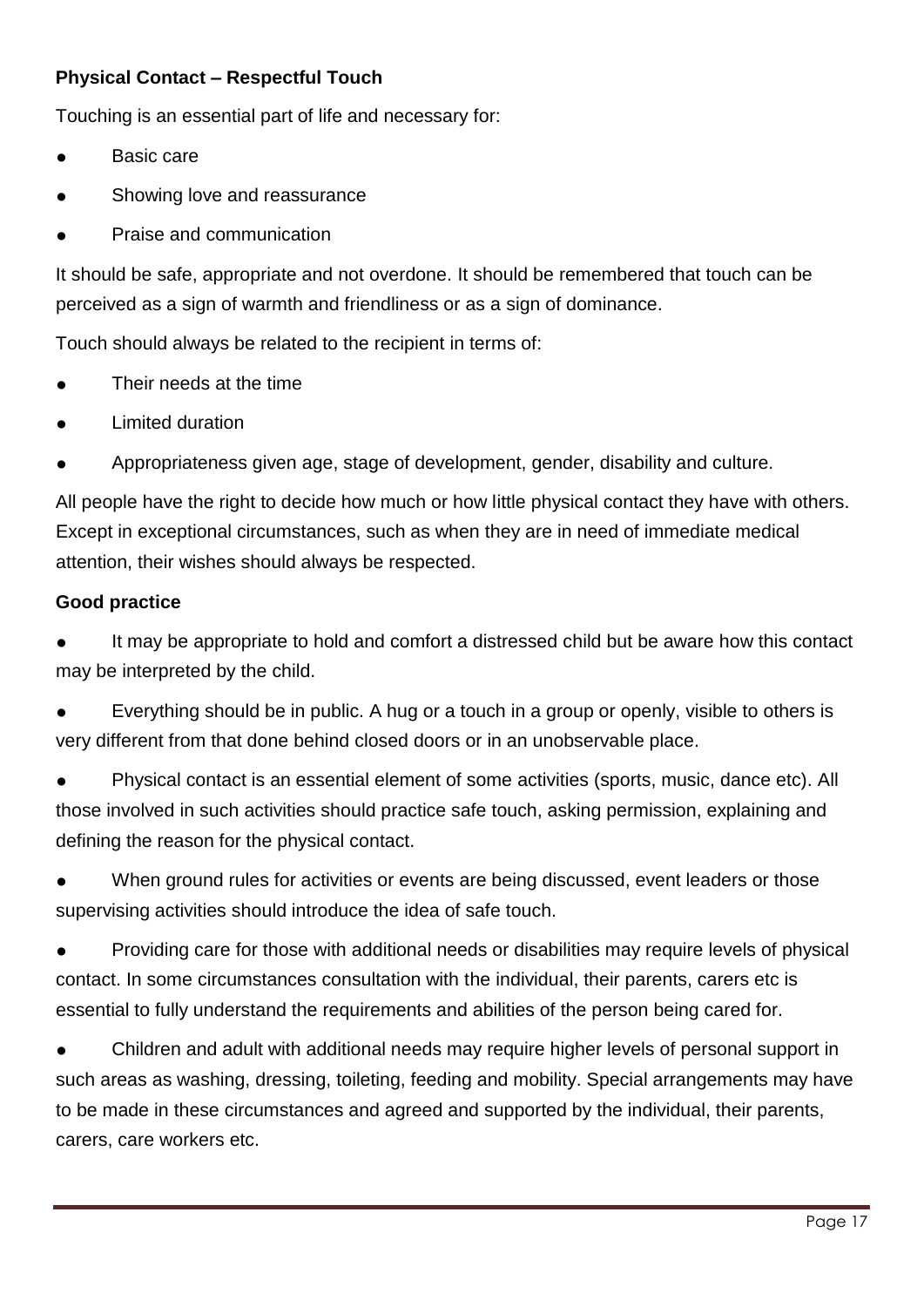### **Physical Contact – Respectful Touch**

Touching is an essential part of life and necessary for:

- Basic care
- Showing love and reassurance
- Praise and communication

It should be safe, appropriate and not overdone. It should be remembered that touch can be perceived as a sign of warmth and friendliness or as a sign of dominance.

Touch should always be related to the recipient in terms of:

- Their needs at the time
- **Limited duration**
- Appropriateness given age, stage of development, gender, disability and culture.

All people have the right to decide how much or how little physical contact they have with others. Except in exceptional circumstances, such as when they are in need of immediate medical attention, their wishes should always be respected.

#### **Good practice**

It may be appropriate to hold and comfort a distressed child but be aware how this contact may be interpreted by the child.

Everything should be in public. A hug or a touch in a group or openly, visible to others is very different from that done behind closed doors or in an unobservable place.

● Physical contact is an essential element of some activities (sports, music, dance etc). All those involved in such activities should practice safe touch, asking permission, explaining and defining the reason for the physical contact.

When ground rules for activities or events are being discussed, event leaders or those supervising activities should introduce the idea of safe touch.

Providing care for those with additional needs or disabilities may require levels of physical contact. In some circumstances consultation with the individual, their parents, carers etc is essential to fully understand the requirements and abilities of the person being cared for.

Children and adult with additional needs may require higher levels of personal support in such areas as washing, dressing, toileting, feeding and mobility. Special arrangements may have to be made in these circumstances and agreed and supported by the individual, their parents, carers, care workers etc.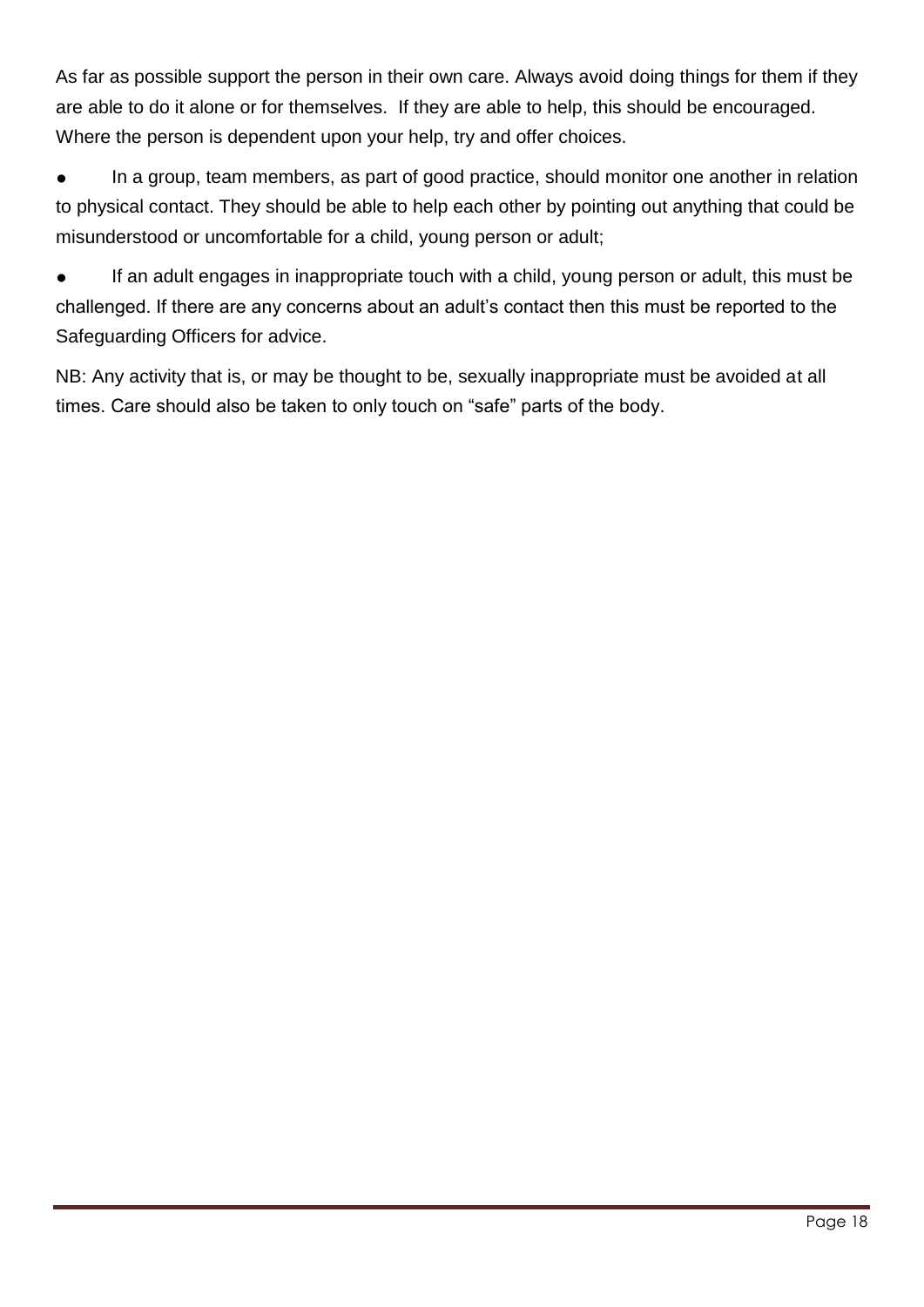As far as possible support the person in their own care. Always avoid doing things for them if they are able to do it alone or for themselves. If they are able to help, this should be encouraged. Where the person is dependent upon your help, try and offer choices.

In a group, team members, as part of good practice, should monitor one another in relation to physical contact. They should be able to help each other by pointing out anything that could be misunderstood or uncomfortable for a child, young person or adult;

If an adult engages in inappropriate touch with a child, young person or adult, this must be challenged. If there are any concerns about an adult's contact then this must be reported to the Safeguarding Officers for advice.

NB: Any activity that is, or may be thought to be, sexually inappropriate must be avoided at all times. Care should also be taken to only touch on "safe" parts of the body.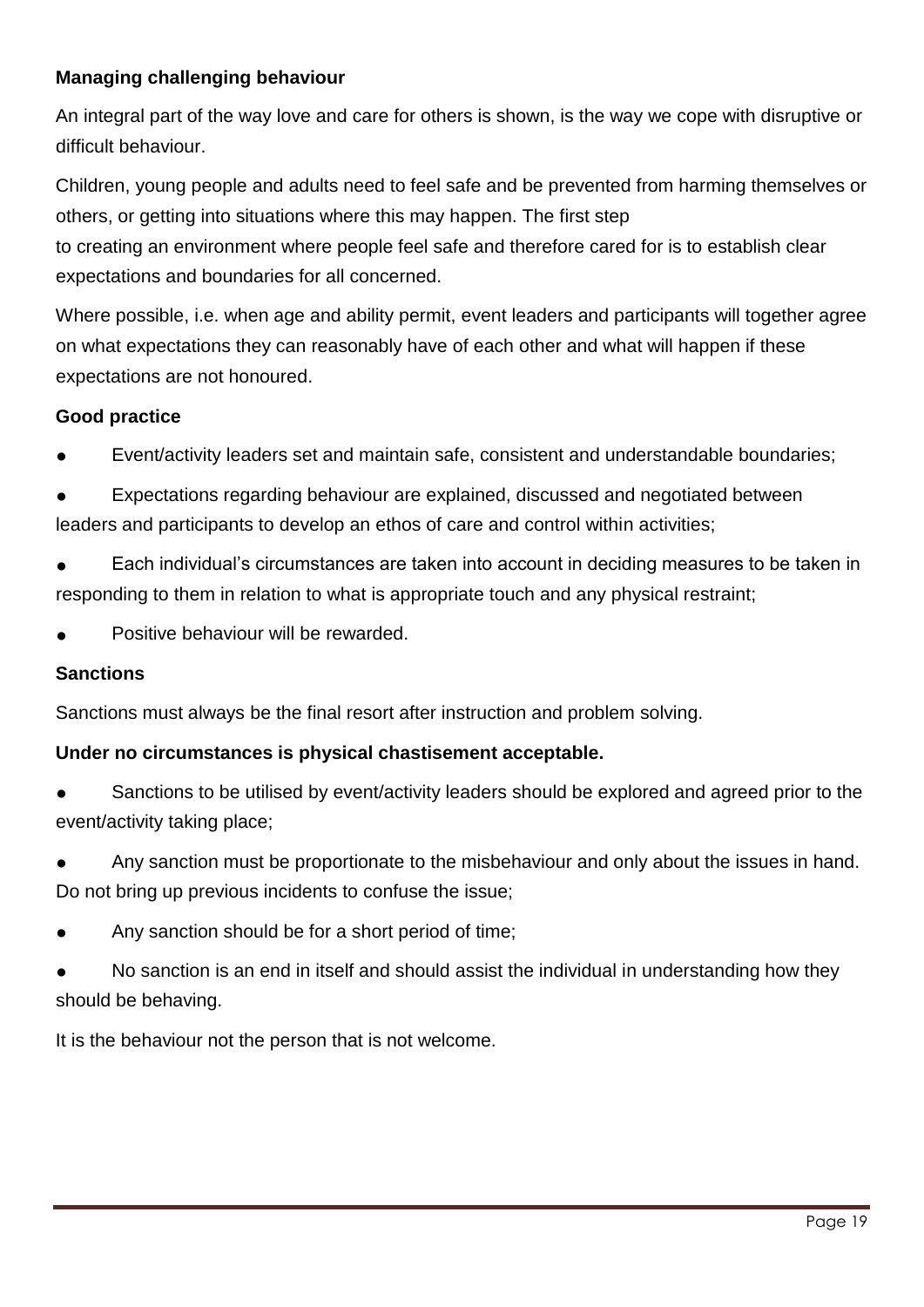### **Managing challenging behaviour**

An integral part of the way love and care for others is shown, is the way we cope with disruptive or difficult behaviour.

Children, young people and adults need to feel safe and be prevented from harming themselves or others, or getting into situations where this may happen. The first step to creating an environment where people feel safe and therefore cared for is to establish clear

expectations and boundaries for all concerned. Where possible, i.e. when age and ability permit, event leaders and participants will together agree on what expectations they can reasonably have of each other and what will happen if these

expectations are not honoured.

### **Good practice**

- Event/activity leaders set and maintain safe, consistent and understandable boundaries;
- Expectations regarding behaviour are explained, discussed and negotiated between leaders and participants to develop an ethos of care and control within activities;
- Each individual's circumstances are taken into account in deciding measures to be taken in responding to them in relation to what is appropriate touch and any physical restraint;
- Positive behaviour will be rewarded.

### **Sanctions**

Sanctions must always be the final resort after instruction and problem solving.

### **Under no circumstances is physical chastisement acceptable.**

- Sanctions to be utilised by event/activity leaders should be explored and agreed prior to the event/activity taking place;
- Any sanction must be proportionate to the misbehaviour and only about the issues in hand. Do not bring up previous incidents to confuse the issue;
- Any sanction should be for a short period of time;
- No sanction is an end in itself and should assist the individual in understanding how they should be behaving.

<span id="page-18-0"></span>It is the behaviour not the person that is not welcome.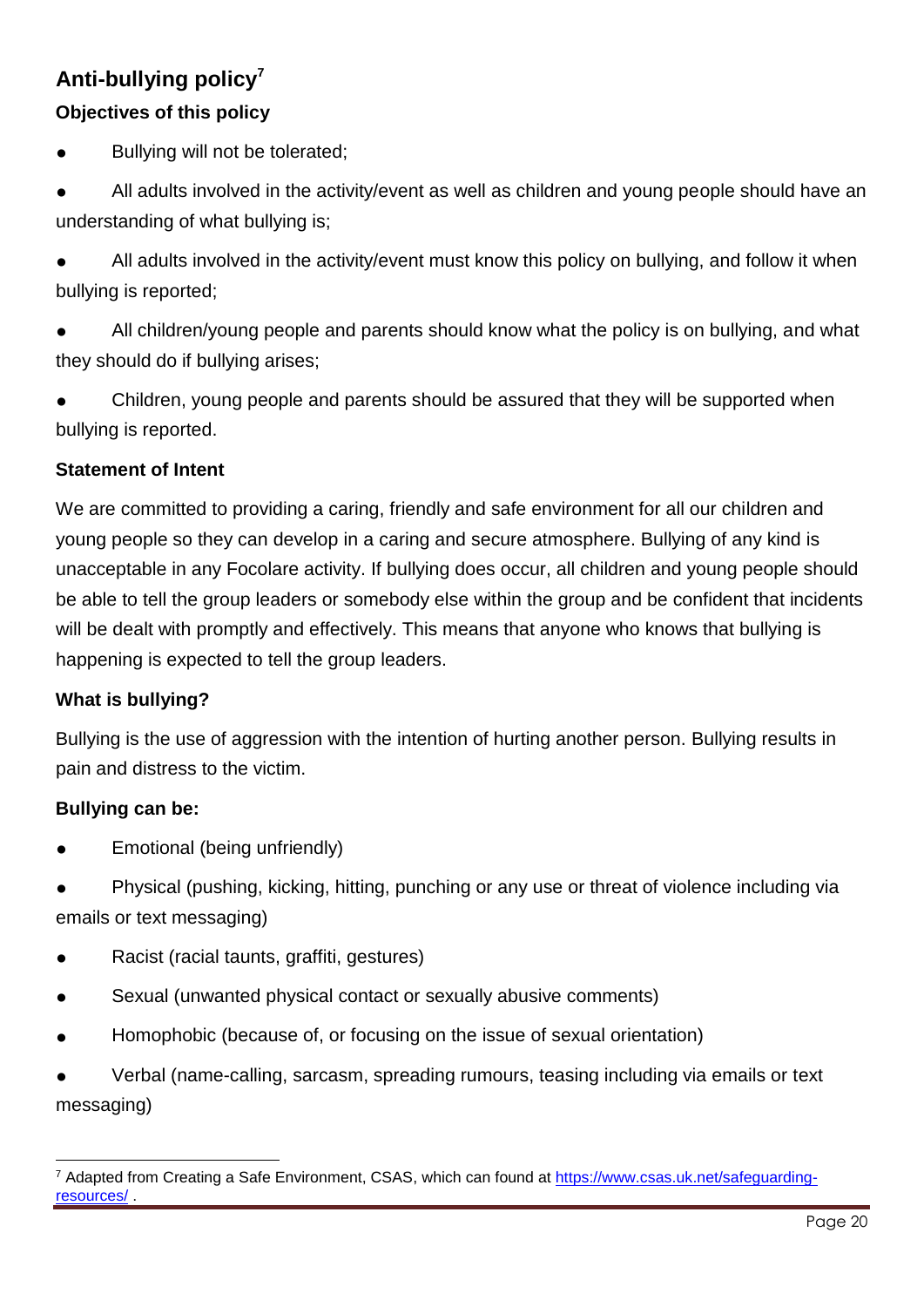### **Anti-bullying policy<sup>7</sup>**

### **Objectives of this policy**

- Bullying will not be tolerated;
- All adults involved in the activity/event as well as children and young people should have an understanding of what bullying is;
- All adults involved in the activity/event must know this policy on bullying, and follow it when bullying is reported;
- All children/young people and parents should know what the policy is on bullying, and what they should do if bullying arises;
- Children, young people and parents should be assured that they will be supported when bullying is reported.

### **Statement of Intent**

We are committed to providing a caring, friendly and safe environment for all our children and young people so they can develop in a caring and secure atmosphere. Bullying of any kind is unacceptable in any Focolare activity. If bullying does occur, all children and young people should be able to tell the group leaders or somebody else within the group and be confident that incidents will be dealt with promptly and effectively. This means that anyone who knows that bullying is happening is expected to tell the group leaders.

### **What is bullying?**

Bullying is the use of aggression with the intention of hurting another person. Bullying results in pain and distress to the victim.

### **Bullying can be:**

- Emotional (being unfriendly)
- Physical (pushing, kicking, hitting, punching or any use or threat of violence including via emails or text messaging)
- Racist (racial taunts, graffiti, gestures)
- Sexual (unwanted physical contact or sexually abusive comments)
- Homophobic (because of, or focusing on the issue of sexual orientation)

Verbal (name-calling, sarcasm, spreading rumours, teasing including via emails or text messaging)

 <sup>7</sup> Adapted from Creating a Safe Environment, CSAS, which can found at [https://www.csas.uk.net/safeguarding](https://www.csas.uk.net/safeguarding-resources/)[resources/](https://www.csas.uk.net/safeguarding-resources/) .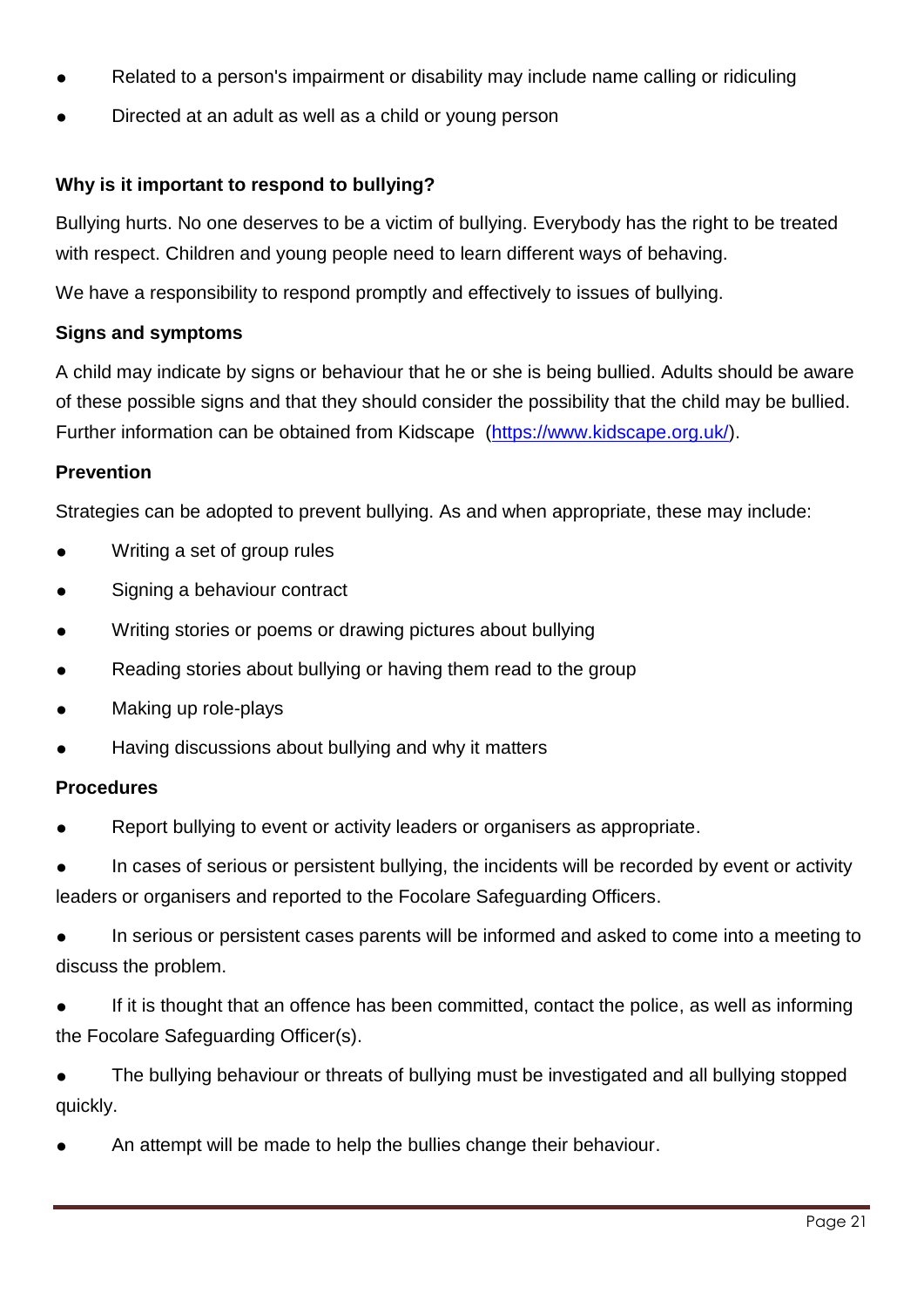- Related to a person's impairment or disability may include name calling or ridiculing
- Directed at an adult as well as a child or young person

### **Why is it important to respond to bullying?**

Bullying hurts. No one deserves to be a victim of bullying. Everybody has the right to be treated with respect. Children and young people need to learn different ways of behaving.

We have a responsibility to respond promptly and effectively to issues of bullying.

### **Signs and symptoms**

A child may indicate by signs or behaviour that he or she is being bullied. Adults should be aware of these possible signs and that they should consider the possibility that the child may be bullied. Further information can be obtained from Kidscape [\(https://www.kidscape.org.uk/\)](https://www.kidscape.org.uk/).

#### **Prevention**

Strategies can be adopted to prevent bullying. As and when appropriate, these may include:

- Writing a set of group rules
- Signing a behaviour contract
- Writing stories or poems or drawing pictures about bullying
- Reading stories about bullying or having them read to the group
- Making up role-plays
- Having discussions about bullying and why it matters

### **Procedures**

Report bullying to event or activity leaders or organisers as appropriate.

In cases of serious or persistent bullying, the incidents will be recorded by event or activity leaders or organisers and reported to the Focolare Safeguarding Officers.

In serious or persistent cases parents will be informed and asked to come into a meeting to discuss the problem.

If it is thought that an offence has been committed, contact the police, as well as informing the Focolare Safeguarding Officer(s).

The bullying behaviour or threats of bullying must be investigated and all bullying stopped quickly.

<span id="page-20-0"></span>An attempt will be made to help the bullies change their behaviour.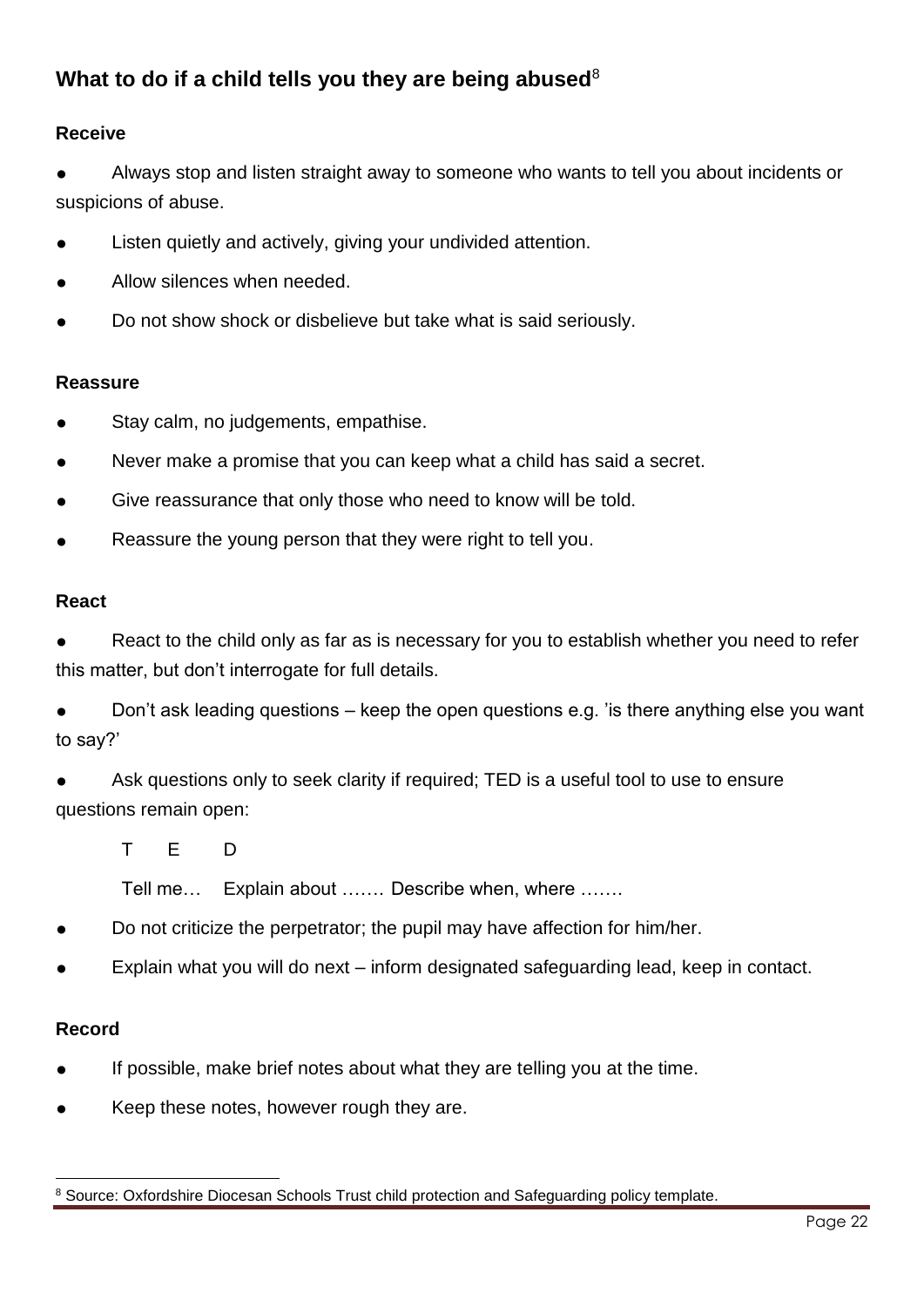### What to do if a child tells you they are being abused<sup>8</sup>

### **Receive**

Always stop and listen straight away to someone who wants to tell you about incidents or suspicions of abuse.

- Listen quietly and actively, giving your undivided attention.
- Allow silences when needed.
- Do not show shock or disbelieve but take what is said seriously.

#### **Reassure**

- Stay calm, no judgements, empathise.
- Never make a promise that you can keep what a child has said a secret.
- Give reassurance that only those who need to know will be told.
- Reassure the young person that they were right to tell you.

#### **React**

React to the child only as far as is necessary for you to establish whether you need to refer this matter, but don't interrogate for full details.

Don't ask leading questions – keep the open questions e.g. 'is there anything else you want to say?'

Ask questions only to seek clarity if required: TED is a useful tool to use to ensure questions remain open:

T E D

Tell me… Explain about ……. Describe when, where …….

- Do not criticize the perpetrator; the pupil may have affection for him/her.
- Explain what you will do next inform designated safeguarding lead, keep in contact.

### **Record**

- If possible, make brief notes about what they are telling you at the time.
- Keep these notes, however rough they are.

 <sup>8</sup> Source: Oxfordshire Diocesan Schools Trust child protection and Safeguarding policy template.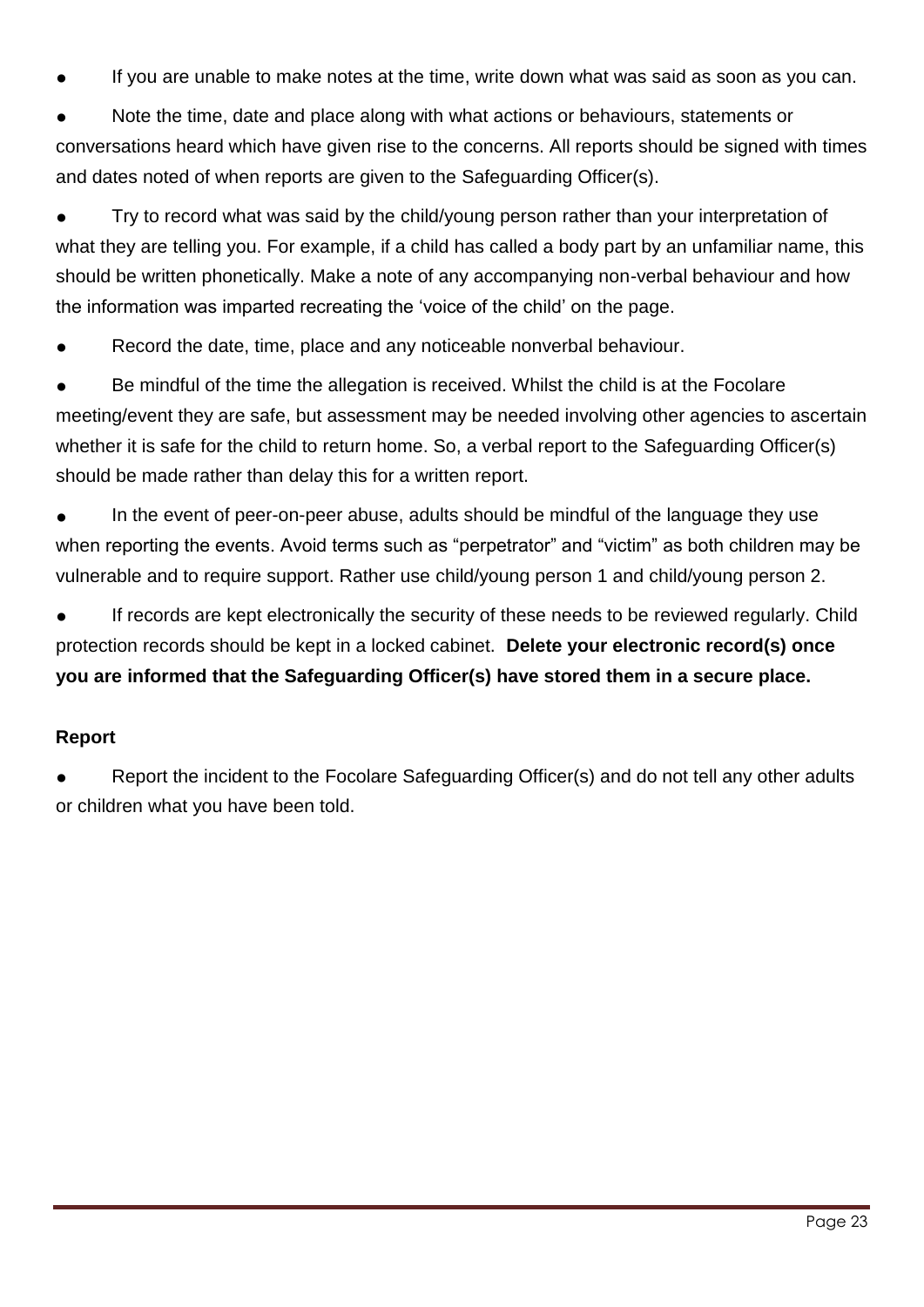If you are unable to make notes at the time, write down what was said as soon as you can.

Note the time, date and place along with what actions or behaviours, statements or conversations heard which have given rise to the concerns. All reports should be signed with times and dates noted of when reports are given to the Safeguarding Officer(s).

Try to record what was said by the child/young person rather than your interpretation of what they are telling you. For example, if a child has called a body part by an unfamiliar name, this should be written phonetically. Make a note of any accompanying non-verbal behaviour and how the information was imparted recreating the 'voice of the child' on the page.

Record the date, time, place and any noticeable nonverbal behaviour.

Be mindful of the time the allegation is received. Whilst the child is at the Focolare meeting/event they are safe, but assessment may be needed involving other agencies to ascertain whether it is safe for the child to return home. So, a verbal report to the Safeguarding Officer(s) should be made rather than delay this for a written report.

In the event of peer-on-peer abuse, adults should be mindful of the language they use when reporting the events. Avoid terms such as "perpetrator" and "victim" as both children may be vulnerable and to require support. Rather use child/young person 1 and child/young person 2.

If records are kept electronically the security of these needs to be reviewed regularly. Child protection records should be kept in a locked cabinet. **Delete your electronic record(s) once you are informed that the Safeguarding Officer(s) have stored them in a secure place.**

### **Report**

Report the incident to the Focolare Safeguarding Officer(s) and do not tell any other adults or children what you have been told.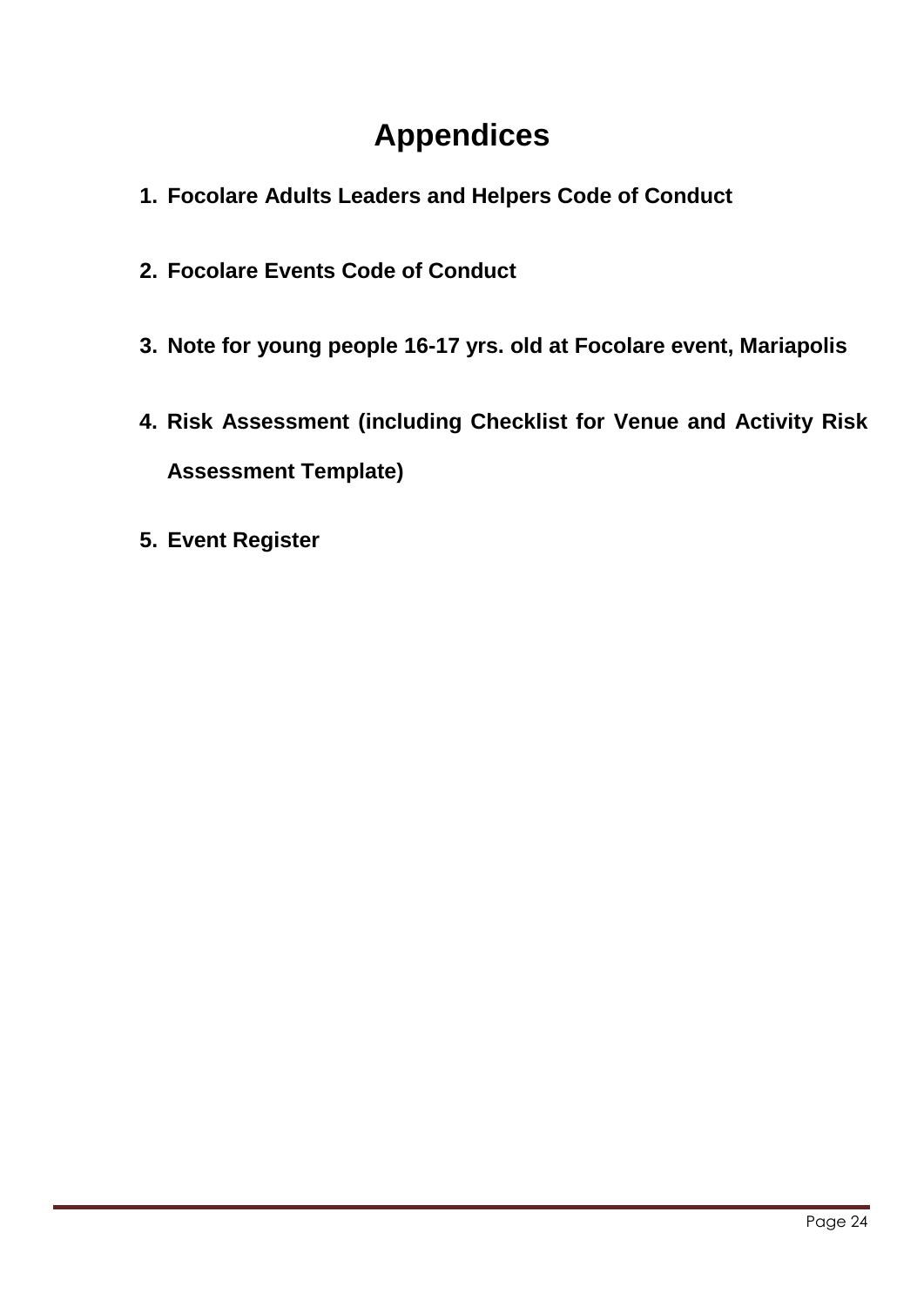## **Appendices**

- <span id="page-23-0"></span>**1. Focolare Adults Leaders and Helpers Code of Conduct**
- **2. Focolare Events Code of Conduct**
- **3. Note for young people 16-17 yrs. old at Focolare event, Mariapolis**
- **4. Risk Assessment (including Checklist for Venue and Activity Risk Assessment Template)**
- **5. Event Register**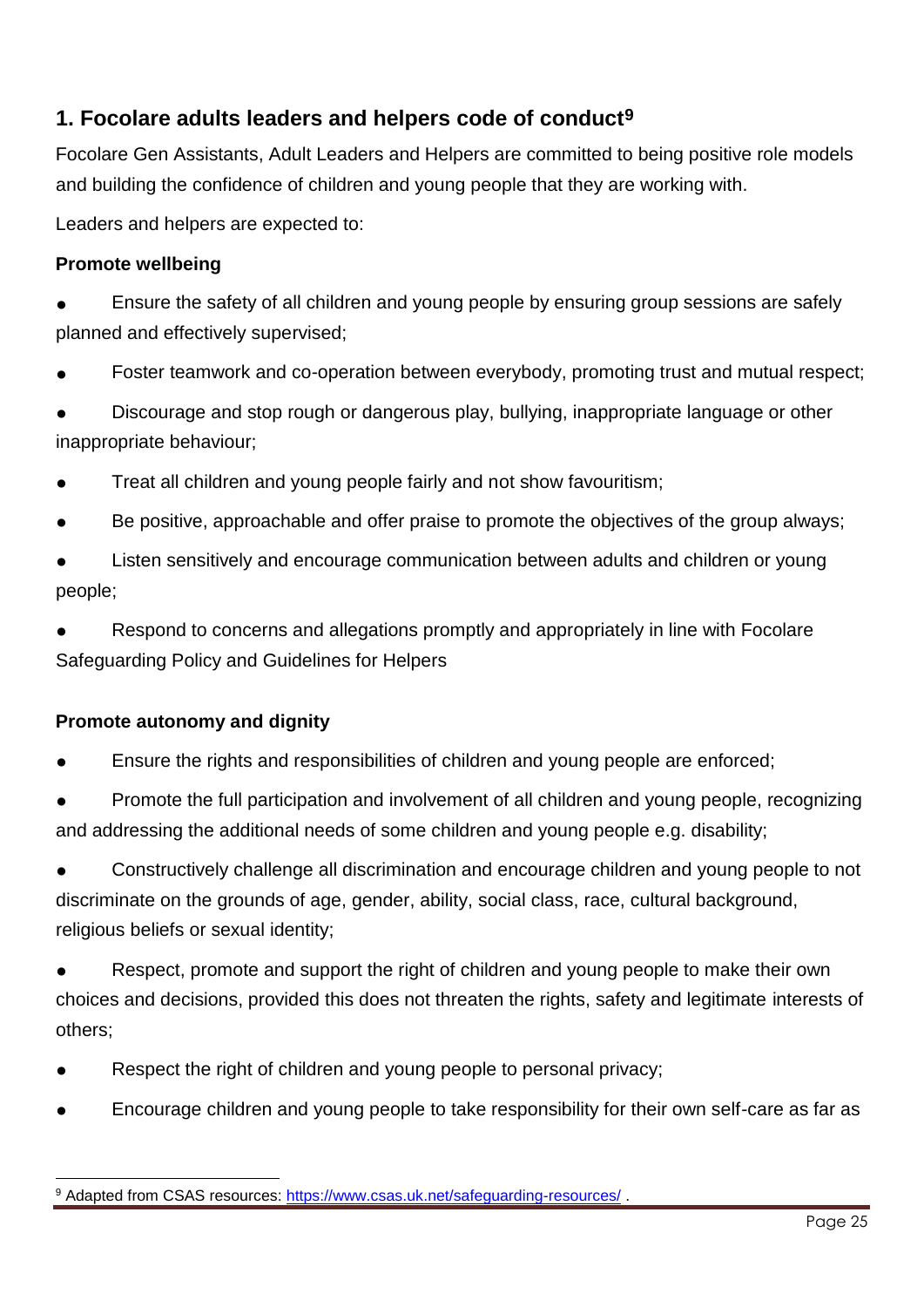### **1. Focolare adults leaders and helpers code of conduct9**

Focolare Gen Assistants, Adult Leaders and Helpers are committed to being positive role models and building the confidence of children and young people that they are working with.

Leaders and helpers are expected to:

### **Promote wellbeing**

Ensure the safety of all children and young people by ensuring group sessions are safely planned and effectively supervised;

Foster teamwork and co-operation between everybody, promoting trust and mutual respect;

Discourage and stop rough or dangerous play, bullying, inappropriate language or other inappropriate behaviour;

- Treat all children and young people fairly and not show favouritism;
- Be positive, approachable and offer praise to promote the objectives of the group always;

Listen sensitively and encourage communication between adults and children or young people;

Respond to concerns and allegations promptly and appropriately in line with Focolare Safeguarding Policy and Guidelines for Helpers

### **Promote autonomy and dignity**

Ensure the rights and responsibilities of children and young people are enforced;

Promote the full participation and involvement of all children and young people, recognizing and addressing the additional needs of some children and young people e.g. disability;

Constructively challenge all discrimination and encourage children and young people to not discriminate on the grounds of age, gender, ability, social class, race, cultural background, religious beliefs or sexual identity;

Respect, promote and support the right of children and young people to make their own choices and decisions, provided this does not threaten the rights, safety and legitimate interests of others;

- Respect the right of children and young people to personal privacy;
- Encourage children and young people to take responsibility for their own self-care as far as

 9 Adapted from CSAS resources:<https://www.csas.uk.net/safeguarding-resources/>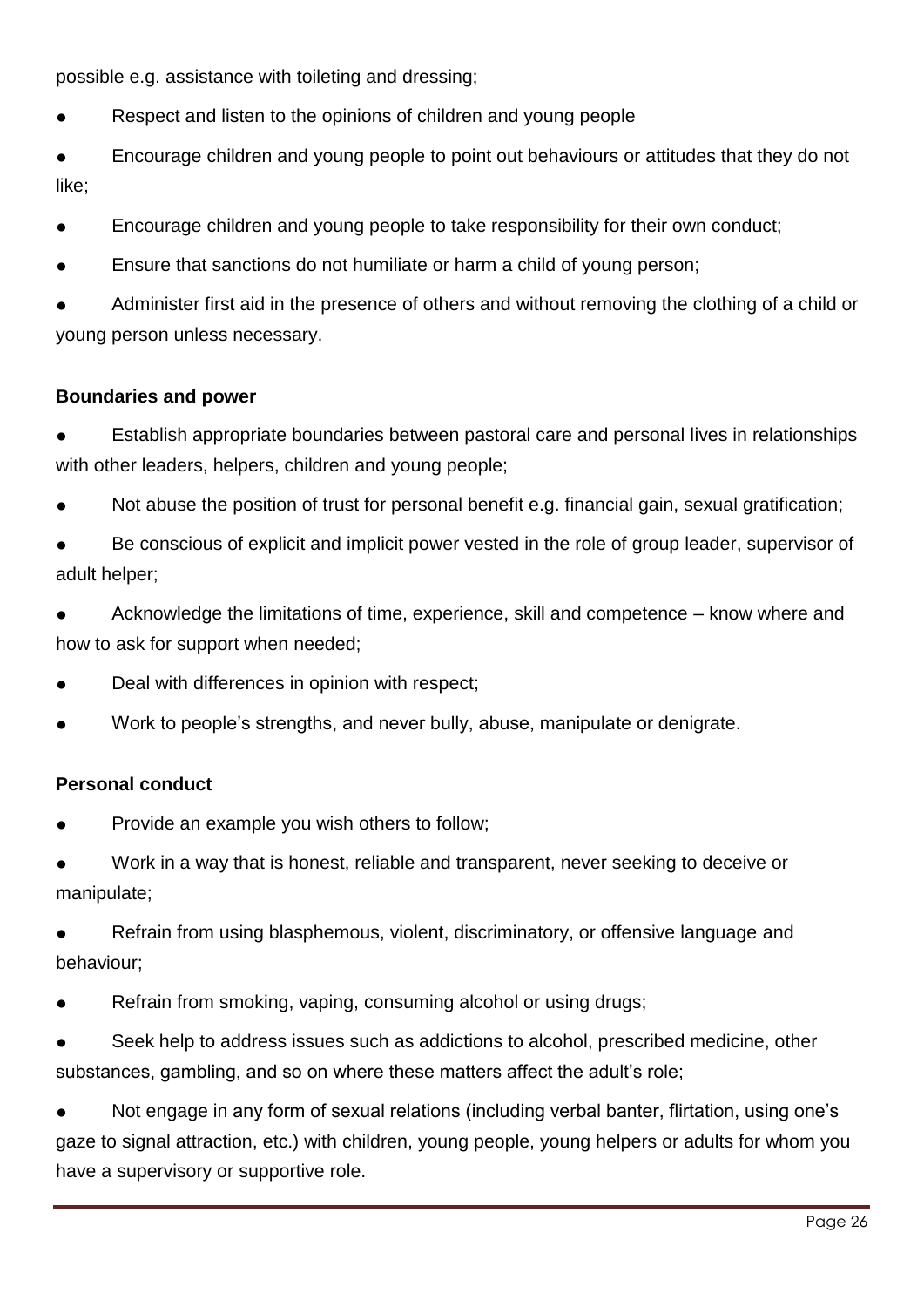possible e.g. assistance with toileting and dressing;

- Respect and listen to the opinions of children and young people
- Encourage children and young people to point out behaviours or attitudes that they do not like;
- Encourage children and young people to take responsibility for their own conduct;
- Ensure that sanctions do not humiliate or harm a child of young person;

Administer first aid in the presence of others and without removing the clothing of a child or young person unless necessary.

#### **Boundaries and power**

- Establish appropriate boundaries between pastoral care and personal lives in relationships with other leaders, helpers, children and young people;
- Not abuse the position of trust for personal benefit e.g. financial gain, sexual gratification;

Be conscious of explicit and implicit power vested in the role of group leader, supervisor of adult helper;

Acknowledge the limitations of time, experience, skill and competence – know where and how to ask for support when needed;

- Deal with differences in opinion with respect;
- Work to people's strengths, and never bully, abuse, manipulate or denigrate.

#### **Personal conduct**

Provide an example you wish others to follow;

Work in a way that is honest, reliable and transparent, never seeking to deceive or manipulate;

Refrain from using blasphemous, violent, discriminatory, or offensive language and behaviour;

- Refrain from smoking, vaping, consuming alcohol or using drugs;
- Seek help to address issues such as addictions to alcohol, prescribed medicine, other substances, gambling, and so on where these matters affect the adult's role;

Not engage in any form of sexual relations (including verbal banter, flirtation, using one's gaze to signal attraction, etc.) with children, young people, young helpers or adults for whom you have a supervisory or supportive role.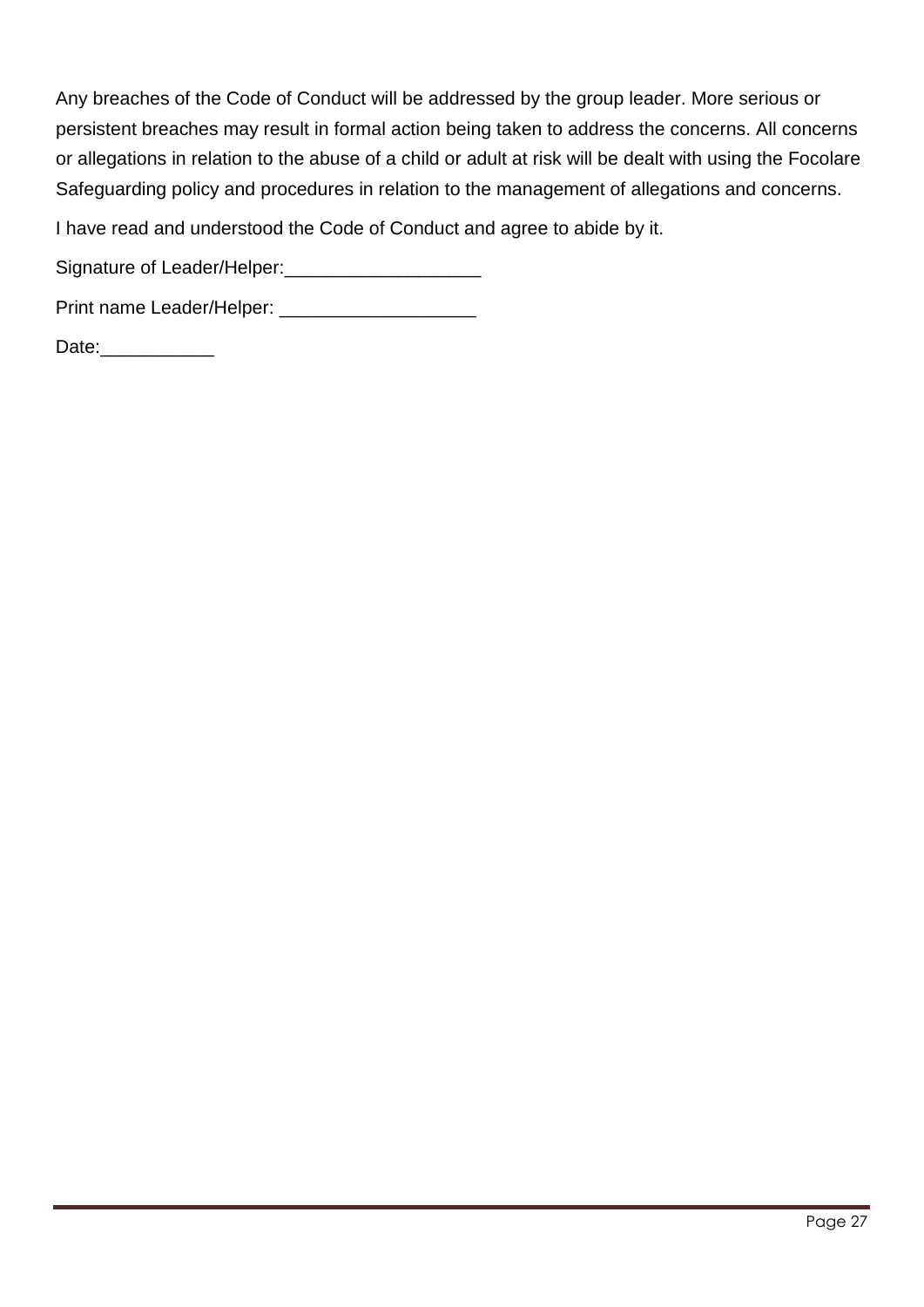Any breaches of the Code of Conduct will be addressed by the group leader. More serious or persistent breaches may result in formal action being taken to address the concerns. All concerns or allegations in relation to the abuse of a child or adult at risk will be dealt with using the Focolare Safeguarding policy and procedures in relation to the management of allegations and concerns.

I have read and understood the Code of Conduct and agree to abide by it.

Signature of Leader/Helper:\_\_\_\_\_\_\_\_\_\_\_\_\_\_\_\_\_\_\_

Print name Leader/Helper: \_\_\_\_\_\_\_\_\_\_\_\_\_\_\_\_\_\_\_

Date:\_\_\_\_\_\_\_\_\_\_\_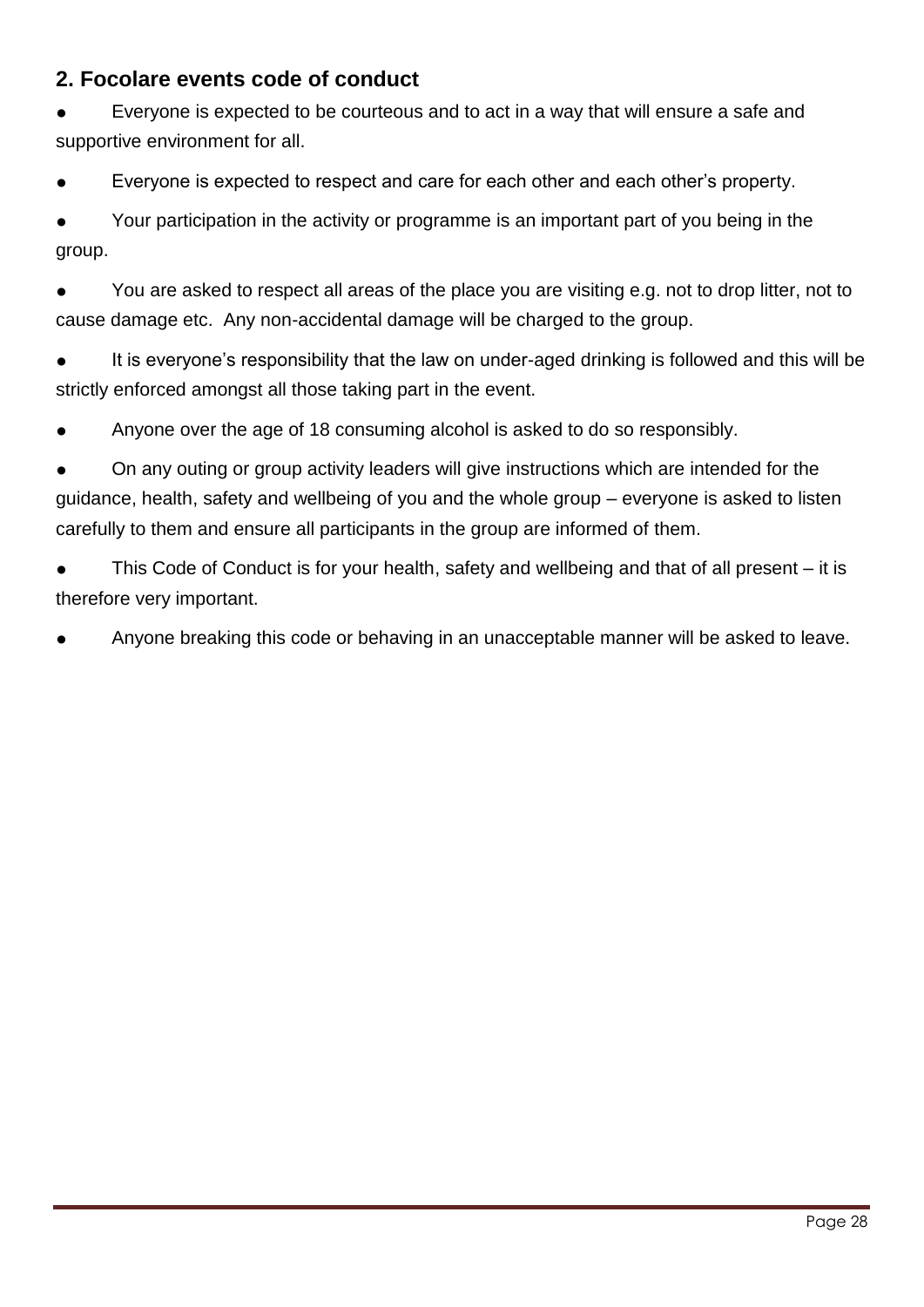### **2. Focolare events code of conduct**

Everyone is expected to be courteous and to act in a way that will ensure a safe and supportive environment for all.

Everyone is expected to respect and care for each other and each other's property.

Your participation in the activity or programme is an important part of you being in the group.

You are asked to respect all areas of the place you are visiting e.g. not to drop litter, not to cause damage etc. Any non-accidental damage will be charged to the group.

It is everyone's responsibility that the law on under-aged drinking is followed and this will be strictly enforced amongst all those taking part in the event.

Anyone over the age of 18 consuming alcohol is asked to do so responsibly.

On any outing or group activity leaders will give instructions which are intended for the guidance, health, safety and wellbeing of you and the whole group – everyone is asked to listen carefully to them and ensure all participants in the group are informed of them.

● This Code of Conduct is for your health, safety and wellbeing and that of all present – it is therefore very important.

Anyone breaking this code or behaving in an unacceptable manner will be asked to leave.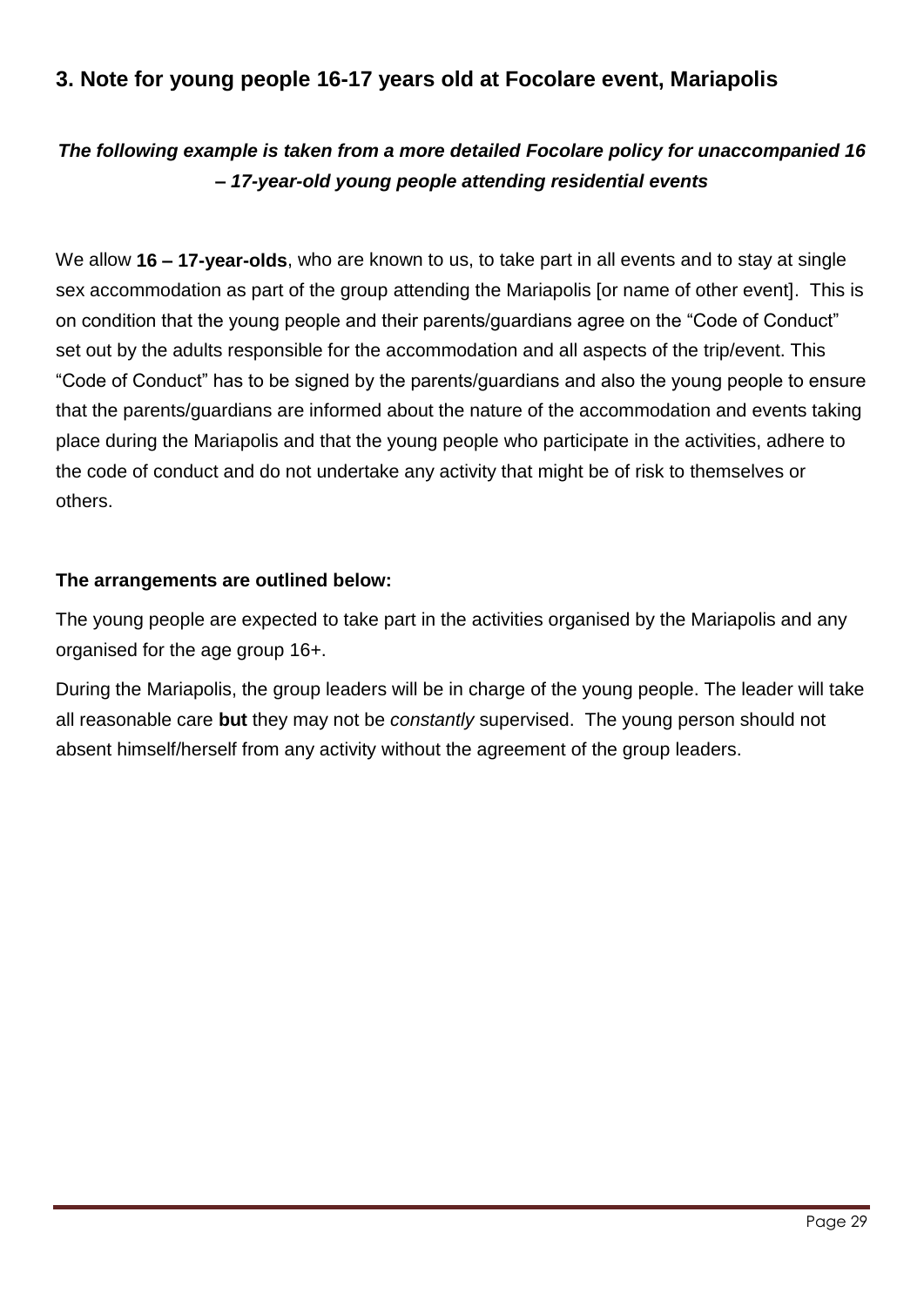### **3. Note for young people 16-17 years old at Focolare event, Mariapolis**

### *The following example is taken from a more detailed Focolare policy for unaccompanied 16 – 17-year-old young people attending residential events*

We allow **16 – 17-year-olds**, who are known to us, to take part in all events and to stay at single sex accommodation as part of the group attending the Mariapolis [or name of other event]. This is on condition that the young people and their parents/guardians agree on the "Code of Conduct" set out by the adults responsible for the accommodation and all aspects of the trip/event. This "Code of Conduct" has to be signed by the parents/guardians and also the young people to ensure that the parents/guardians are informed about the nature of the accommodation and events taking place during the Mariapolis and that the young people who participate in the activities, adhere to the code of conduct and do not undertake any activity that might be of risk to themselves or others.

#### **The arrangements are outlined below:**

The young people are expected to take part in the activities organised by the Mariapolis and any organised for the age group 16+.

During the Mariapolis, the group leaders will be in charge of the young people. The leader will take all reasonable care **but** they may not be *constantly* supervised. The young person should not absent himself/herself from any activity without the agreement of the group leaders.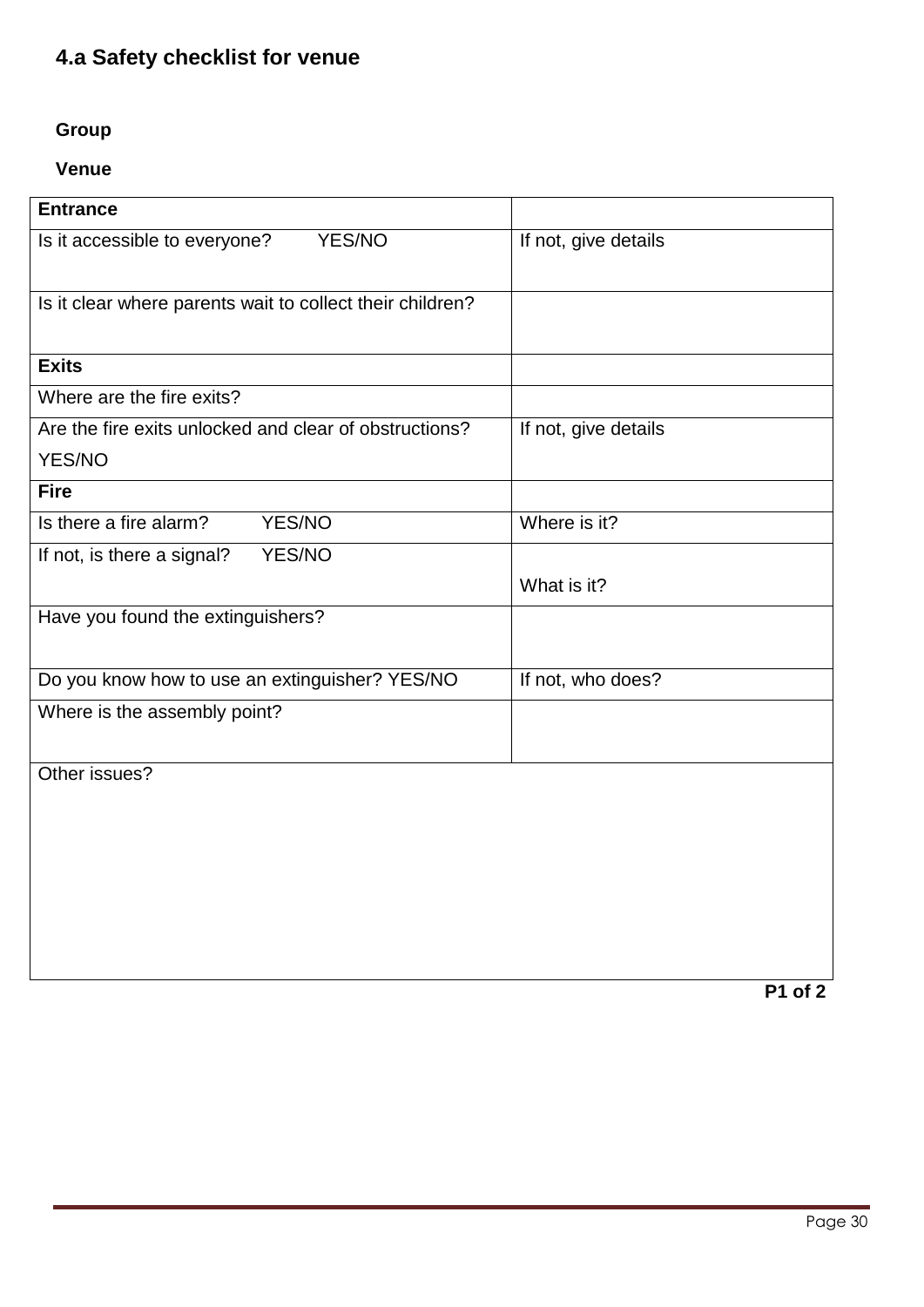### **4.a Safety checklist for venue**

### **Group**

### **Venue**

| <b>Entrance</b>                                           |                      |
|-----------------------------------------------------------|----------------------|
| YES/NO<br>Is it accessible to everyone?                   | If not, give details |
| Is it clear where parents wait to collect their children? |                      |
| <b>Exits</b>                                              |                      |
| Where are the fire exits?                                 |                      |
| Are the fire exits unlocked and clear of obstructions?    | If not, give details |
| YES/NO                                                    |                      |
| <b>Fire</b>                                               |                      |
| Is there a fire alarm?<br>YES/NO                          | Where is it?         |
| YES/NO<br>If not, is there a signal?                      |                      |
|                                                           | What is it?          |
| Have you found the extinguishers?                         |                      |
| Do you know how to use an extinguisher? YES/NO            | If not, who does?    |
| Where is the assembly point?                              |                      |
|                                                           |                      |
| Other issues?                                             |                      |
|                                                           |                      |
|                                                           |                      |
|                                                           |                      |
|                                                           |                      |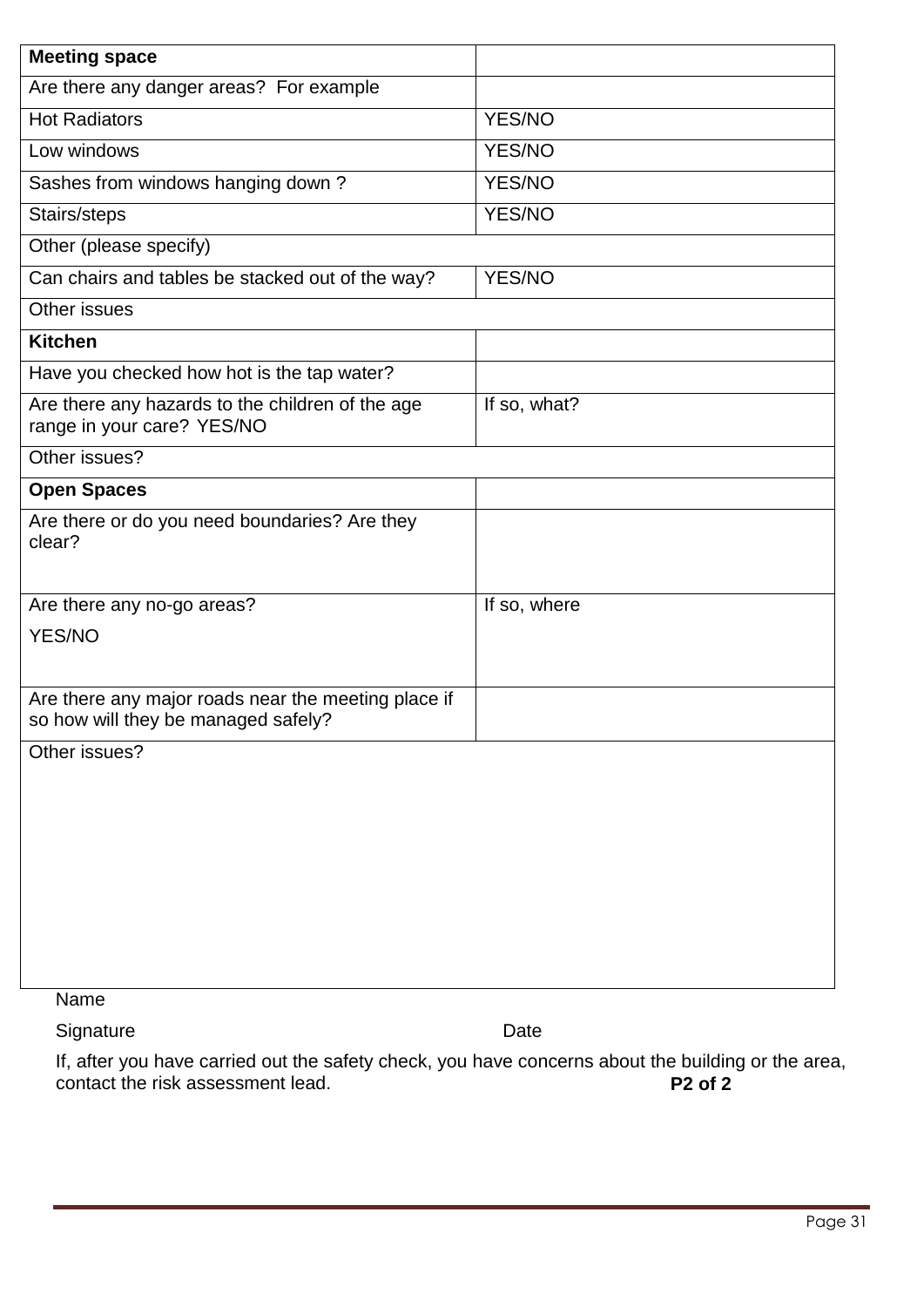| YES/NO        |
|---------------|
| <b>YES/NO</b> |
| <b>YES/NO</b> |
| <b>YES/NO</b> |
|               |
| YES/NO        |
|               |
|               |
|               |
| If so, what?  |
|               |
|               |
|               |
| If so, where  |
|               |
|               |
|               |
|               |
|               |
|               |
|               |
|               |
|               |
|               |
|               |
|               |

Name

Signature Date

If, after you have carried out the safety check, you have concerns about the building or the area, contact the risk assessment lead. **P2 of 2**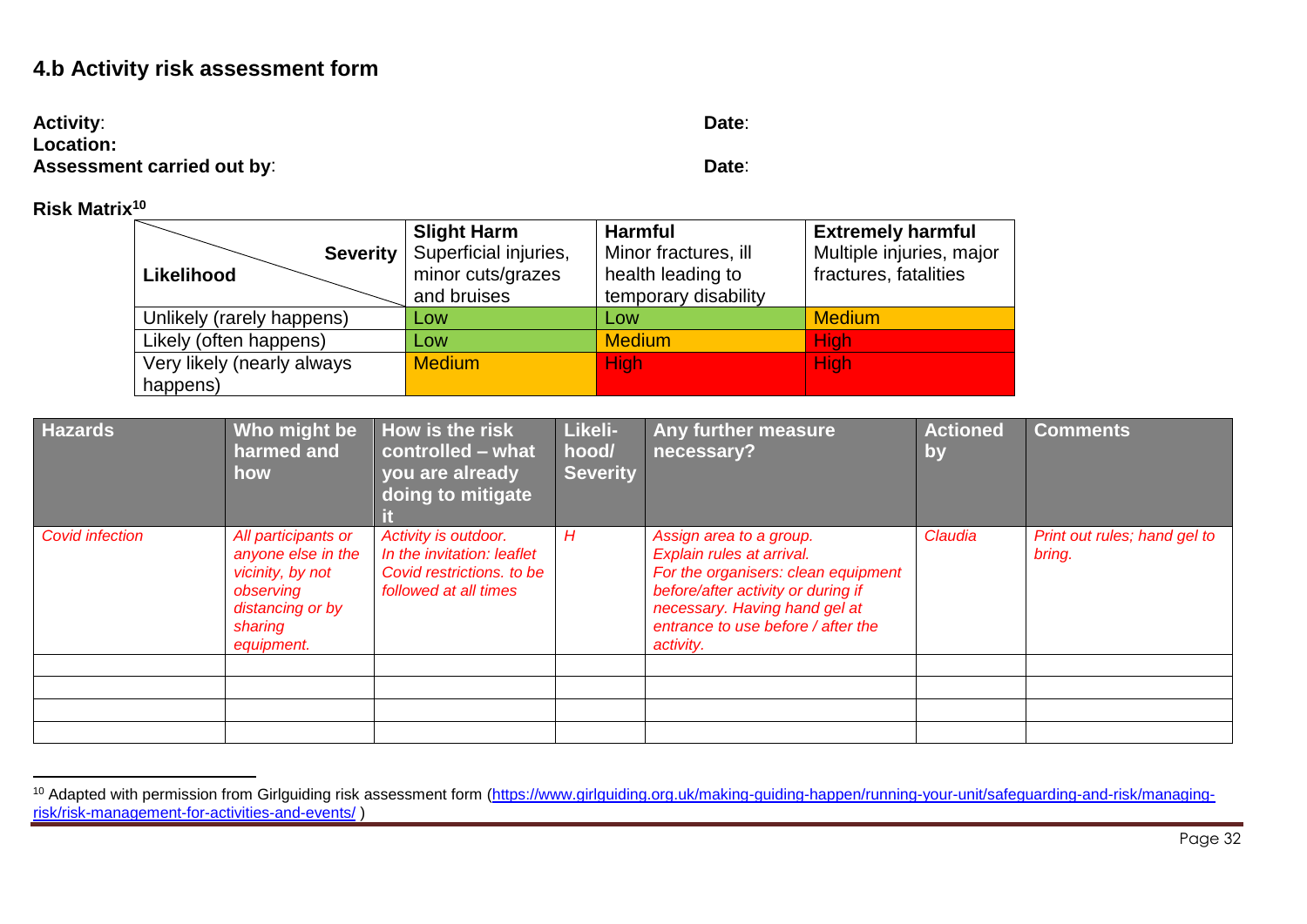### **4.b Activity risk assessment form**

| <b>Activity:</b>                  | Date: |
|-----------------------------------|-------|
| Location:                         |       |
| <b>Assessment carried out by:</b> | Date: |

**Risk Matrix<sup>10</sup>**

|                               | <b>Slight Harm</b>                         | <b>Harmful</b>                            | <b>Extremely harmful</b>                          |
|-------------------------------|--------------------------------------------|-------------------------------------------|---------------------------------------------------|
| <b>Severity</b><br>Likelihood | Superficial injuries,<br>minor cuts/grazes | Minor fractures, ill<br>health leading to | Multiple injuries, major<br>fractures, fatalities |
|                               | and bruises                                | temporary disability                      |                                                   |
| Unlikely (rarely happens)     | Low                                        | Low                                       | <b>Medium</b>                                     |
| Likely (often happens)        | Low                                        | <b>Medium</b>                             | <b>High</b>                                       |
| Very likely (nearly always    | <b>Medium</b>                              | <b>High</b>                               | <b>High</b>                                       |
| happens)                      |                                            |                                           |                                                   |

| <b>Hazards</b>         | Who might be<br>harmed and<br>how                                                                                       | How is the risk<br>controlled - what<br>you are already<br>doing to mitigate                             | Likeli-<br>hood/<br><b>Severity</b> | Any further measure<br>necessary?                                                                                                                                                                                     | <b>Actioned</b><br>by | <b>Comments</b>                        |
|------------------------|-------------------------------------------------------------------------------------------------------------------------|----------------------------------------------------------------------------------------------------------|-------------------------------------|-----------------------------------------------------------------------------------------------------------------------------------------------------------------------------------------------------------------------|-----------------------|----------------------------------------|
| <b>Covid infection</b> | All participants or<br>anyone else in the<br>vicinity, by not<br>observing<br>distancing or by<br>sharing<br>equipment. | Activity is outdoor.<br>In the invitation: leaflet<br>Covid restrictions. to be<br>followed at all times | H                                   | Assign area to a group.<br>Explain rules at arrival.<br>For the organisers: clean equipment<br>before/after activity or during if<br>necessary. Having hand gel at<br>entrance to use before / after the<br>activity. | Claudia               | Print out rules; hand gel to<br>bring. |
|                        |                                                                                                                         |                                                                                                          |                                     |                                                                                                                                                                                                                       |                       |                                        |
|                        |                                                                                                                         |                                                                                                          |                                     |                                                                                                                                                                                                                       |                       |                                        |
|                        |                                                                                                                         |                                                                                                          |                                     |                                                                                                                                                                                                                       |                       |                                        |
|                        |                                                                                                                         |                                                                                                          |                                     |                                                                                                                                                                                                                       |                       |                                        |

<sup>&</sup>lt;sup>10</sup> Adapted with permission from Girlguiding risk assessment form [\(https://www.girlguiding.org.uk/making-guiding-happen/running-your-unit/safeguarding-and-risk/managing](https://www.girlguiding.org.uk/making-guiding-happen/running-your-unit/safeguarding-and-risk/managing-risk/risk-management-for-activities-and-events/)[risk/risk-management-for-activities-and-events/](https://www.girlguiding.org.uk/making-guiding-happen/running-your-unit/safeguarding-and-risk/managing-risk/risk-management-for-activities-and-events/) )